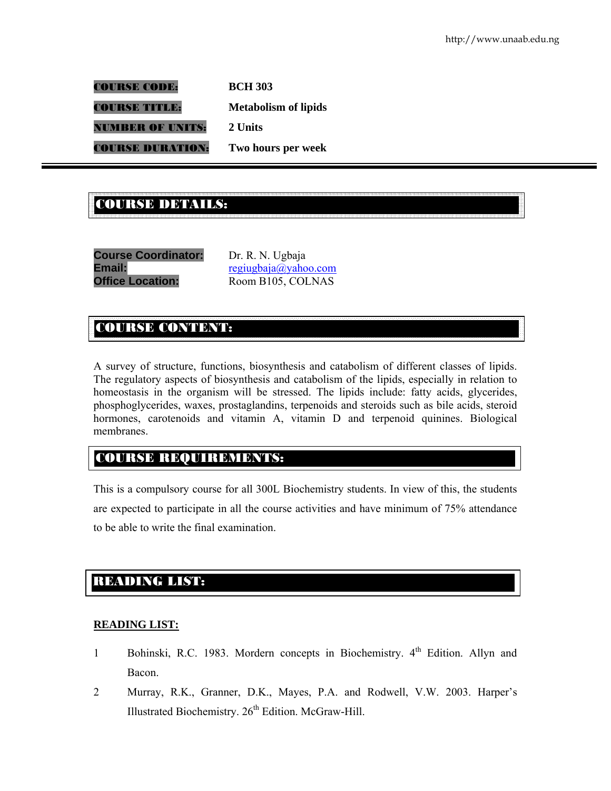COURSE CODE: **BCH 303** COURSE TITLE: **Metabolism of lipids**  NUMBER OF UNITS: **2 Units** COURSE DURATION: **Two hours per week** 

### :<br>Courses de la course de la course de la course de la course de la course de la course de la course de la cours<br>Courses de la course de la course de la course de la course de la course de la course de la course de la cour COURSE DETAILS:

|        | <b>Course Coordinator:</b> |
|--------|----------------------------|
| Email: |                            |
|        | <b>Office Location:</b>    |

Dr. R. N. Ugbaja **Email:** regiugbaja@yahoo.com Room B105, COLNAS

# COURSE CONTENT:

A survey of structure, functions, biosynthesis and catabolism of different classes of lipids. The regulatory aspects of biosynthesis and catabolism of the lipids, especially in relation to homeostasis in the organism will be stressed. The lipids include: fatty acids, glycerides, phosphoglycerides, waxes, prostaglandins, terpenoids and steroids such as bile acids, steroid hormones, carotenoids and vitamin A, vitamin D and terpenoid quinines. Biological membranes.

# COURSE REQUIREMENTS:

This is a compulsory course for all 300L Biochemistry students. In view of this, the students are expected to participate in all the course activities and have minimum of 75% attendance to be able to write the final examination.

# READING LIST:

### **READING LIST:**

- 1 Bohinski, R.C. 1983. Mordern concepts in Biochemistry. 4<sup>th</sup> Edition. Allyn and Bacon.
- 2 Murray, R.K., Granner, D.K., Mayes, P.A. and Rodwell, V.W. 2003. Harper's Illustrated Biochemistry. 26<sup>th</sup> Edition. McGraw-Hill.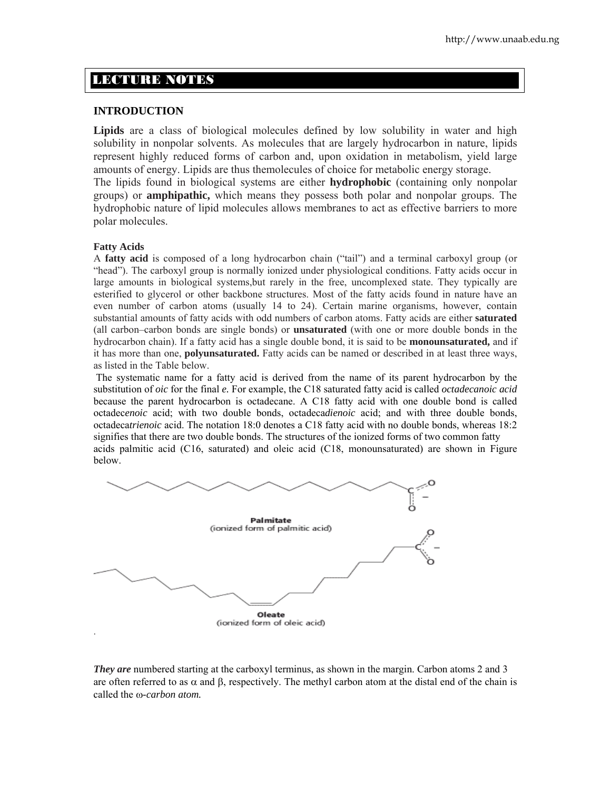## LE BOULDED NOTES

#### **INTRODUCTION**

**Lipids** are a class of biological molecules defined by low solubility in water and high solubility in nonpolar solvents. As molecules that are largely hydrocarbon in nature, lipids represent highly reduced forms of carbon and, upon oxidation in metabolism, yield large amounts of energy. Lipids are thus themolecules of choice for metabolic energy storage. The lipids found in biological systems are either **hydrophobic** (containing only nonpolar groups) or **amphipathic,** which means they possess both polar and nonpolar groups. The

hydrophobic nature of lipid molecules allows membranes to act as effective barriers to more

#### **Fatty Acids**

polar molecules.

A **fatty acid** is composed of a long hydrocarbon chain ("tail") and a terminal carboxyl group (or "head"). The carboxyl group is normally ionized under physiological conditions. Fatty acids occur in large amounts in biological systems,but rarely in the free, uncomplexed state. They typically are esterified to glycerol or other backbone structures. Most of the fatty acids found in nature have an even number of carbon atoms (usually 14 to 24). Certain marine organisms, however, contain substantial amounts of fatty acids with odd numbers of carbon atoms. Fatty acids are either **saturated**  (all carbon–carbon bonds are single bonds) or **unsaturated** (with one or more double bonds in the hydrocarbon chain). If a fatty acid has a single double bond, it is said to be **monounsaturated,** and if it has more than one, **polyunsaturated.** Fatty acids can be named or described in at least three ways, as listed in the Table below.

 The systematic name for a fatty acid is derived from the name of its parent hydrocarbon by the substitution of *oic* for the final *e.* For example, the C18 saturated fatty acid is called *octadecanoic acid*  because the parent hydrocarbon is octadecane. A C18 fatty acid with one double bond is called octadec*enoic* acid; with two double bonds, octadeca*dienoic* acid; and with three double bonds, octadeca*trienoic* acid. The notation 18:0 denotes a C18 fatty acid with no double bonds, whereas 18:2 signifies that there are two double bonds. The structures of the ionized forms of two common fatty acids palmitic acid (C16, saturated) and oleic acid (C18, monounsaturated) are shown in Figure below.



*They are* numbered starting at the carboxyl terminus, as shown in the margin. Carbon atoms 2 and 3 are often referred to as  $\alpha$  and  $\beta$ , respectively. The methyl carbon atom at the distal end of the chain is called the ω*-carbon atom.*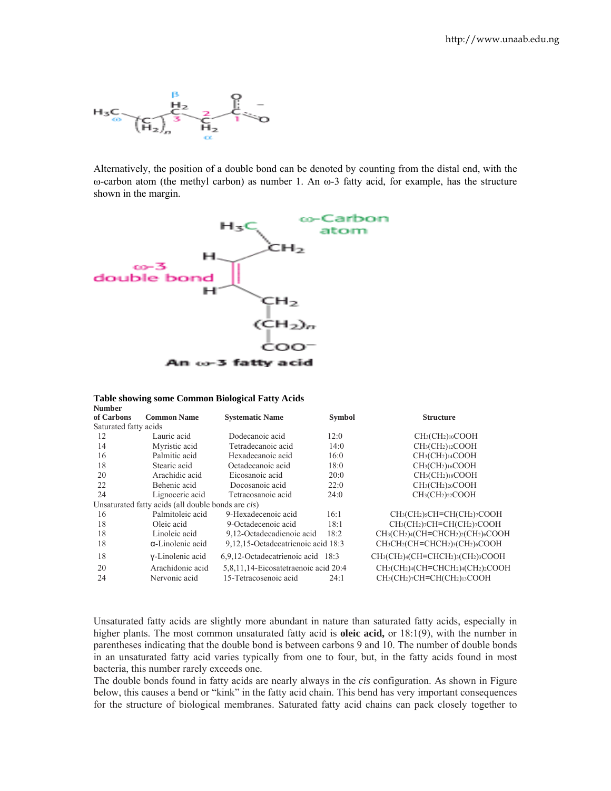

Alternatively, the position of a double bond can be denoted by counting from the distal end, with the ω-carbon atom (the methyl carbon) as number 1. An ω-3 fatty acid, for example, has the structure shown in the margin.



#### **Table showing some Common Biological Fatty Acids Number**

| of Carbons            | <b>Common Name</b>                                         | <b>Systematic Name</b>               | <b>Symbol</b> | <b>Structure</b>                                                                                                          |
|-----------------------|------------------------------------------------------------|--------------------------------------|---------------|---------------------------------------------------------------------------------------------------------------------------|
| Saturated fatty acids |                                                            |                                      |               |                                                                                                                           |
| 12                    | Lauric acid                                                | Dodecanoic acid                      | 12:0          | CH <sub>3</sub> (CH <sub>2</sub> )10COOH                                                                                  |
| 14                    | Myristic acid                                              | Tetradecanoic acid                   | 14:0          | CH <sub>3</sub> (CH <sub>2</sub> ) <sup>12</sup> COOH                                                                     |
| 16                    | Palmitic acid                                              | Hexadecanoic acid                    | 16:0          | CH <sub>3</sub> (CH <sub>2</sub> ) <sup>14</sup> COOH                                                                     |
| 18                    | Stearic acid                                               | Octadecanoic acid                    | 18:0          | CH <sub>3</sub> (CH <sub>2</sub> ) <sup>16</sup> COOH                                                                     |
| 20                    | Arachidic acid                                             | Eicosanoic acid                      | 20:0          | CH <sub>3</sub> (CH <sub>2</sub> )18COOH                                                                                  |
| 22                    | Behenic acid                                               | Docosanoic acid                      | 22:0          | $CH3(CH2)20COOH$                                                                                                          |
| 24                    | Lignoceric acid                                            | Tetracosanoic acid                   | 24:0          | CH <sub>3</sub> (CH <sub>2</sub> ) <sub>22</sub> COOH                                                                     |
|                       | Unsaturated fatty acids (all double bonds are <i>cis</i> ) |                                      |               |                                                                                                                           |
| 16                    | Palmitoleic acid                                           | 9-Hexadecenoic acid                  | 16:1          | CH <sub>3</sub> (CH <sub>2</sub> ) <sub>5</sub> CH=CH(CH <sub>2</sub> ) <sub>7</sub> COOH                                 |
| 18                    | Oleic acid                                                 | 9-Octadecenoic acid                  | 18:1          | CH <sub>3</sub> (CH <sub>2</sub> )7CH=CH(CH <sub>2</sub> )7COOH                                                           |
| 18                    | Linoleic acid                                              | 9,12-Octadecadienoic acid            | 18:2          | CH <sub>3</sub> (CH <sub>2</sub> ) <sub>4</sub> (CH=CHCH <sub>2</sub> ) <sub>2</sub> (CH <sub>2</sub> ) <sub>6</sub> COOH |
| 18                    | $\alpha$ -Linolenic acid                                   | 9,12,15-Octadecatrienoic acid 18:3   |               | CH <sub>3</sub> CH <sub>2</sub> (CH=CHCH <sub>2</sub> ) <sub>3</sub> (CH <sub>2</sub> ) <sub>6</sub> COOH                 |
| 18                    | v-Linolenic acid                                           | 6.9.12-Octadecatrienoic acid 18:3    |               | CH <sub>3</sub> (CH <sub>2</sub> ) <sub>4</sub> (CH=CHCH <sub>2</sub> ) <sub>3</sub> (CH <sub>2</sub> ) <sub>3</sub> COOH |
| 20                    | Arachidonic acid                                           | 5,8,11,14-Eicosatetraenoic acid 20:4 |               | CH <sub>3</sub> (CH <sub>2</sub> )4(CH=CHCH <sub>2</sub> )4(CH <sub>2</sub> )2COOH                                        |
| 24                    | Nervonic acid                                              | 15-Tetracosenoic acid                | 24:1          | CH <sub>3</sub> (CH <sub>2</sub> )7CH=CH(CH <sub>2</sub> )13COOH                                                          |
|                       |                                                            |                                      |               |                                                                                                                           |

Unsaturated fatty acids are slightly more abundant in nature than saturated fatty acids, especially in higher plants. The most common unsaturated fatty acid is **oleic acid,** or 18:1(9), with the number in parentheses indicating that the double bond is between carbons 9 and 10. The number of double bonds in an unsaturated fatty acid varies typically from one to four, but, in the fatty acids found in most bacteria, this number rarely exceeds one.

The double bonds found in fatty acids are nearly always in the *cis* configuration. As shown in Figure below, this causes a bend or "kink" in the fatty acid chain. This bend has very important consequences for the structure of biological membranes. Saturated fatty acid chains can pack closely together to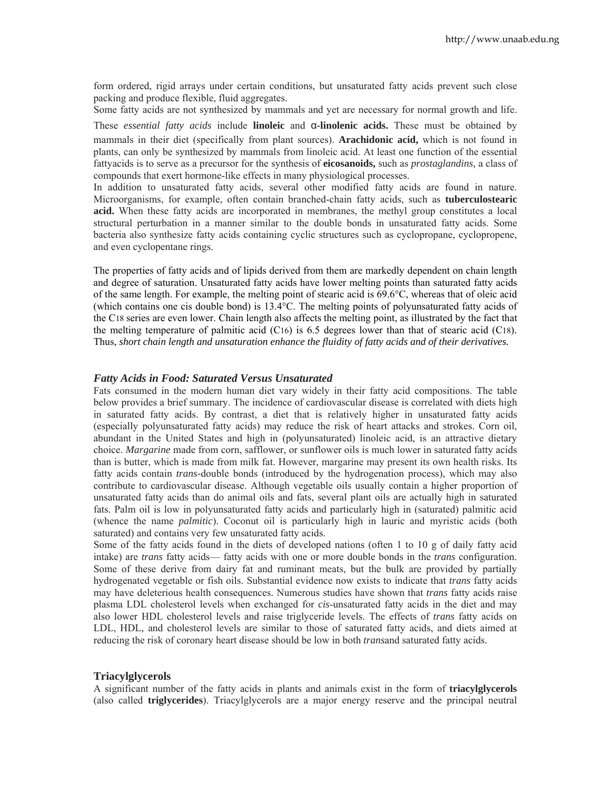form ordered, rigid arrays under certain conditions, but unsaturated fatty acids prevent such close packing and produce flexible, fluid aggregates.

Some fatty acids are not synthesized by mammals and yet are necessary for normal growth and life.

These *essential fatty acids* include **linoleic** and α**-linolenic acids.** These must be obtained by mammals in their diet (specifically from plant sources). **Arachidonic acid,** which is not found in plants, can only be synthesized by mammals from linoleic acid. At least one function of the essential fattyacids is to serve as a precursor for the synthesis of **eicosanoids,** such as *prostaglandins,* a class of compounds that exert hormone-like effects in many physiological processes.

In addition to unsaturated fatty acids, several other modified fatty acids are found in nature. Microorganisms, for example, often contain branched-chain fatty acids, such as **tuberculostearic acid.** When these fatty acids are incorporated in membranes, the methyl group constitutes a local structural perturbation in a manner similar to the double bonds in unsaturated fatty acids. Some bacteria also synthesize fatty acids containing cyclic structures such as cyclopropane, cyclopropene, and even cyclopentane rings.

The properties of fatty acids and of lipids derived from them are markedly dependent on chain length and degree of saturation. Unsaturated fatty acids have lower melting points than saturated fatty acids of the same length. For example, the melting point of stearic acid is 69.6°C, whereas that of oleic acid (which contains one cis double bond) is 13.4°C. The melting points of polyunsaturated fatty acids of the C18 series are even lower. Chain length also affects the melting point, as illustrated by the fact that the melting temperature of palmitic acid (C16) is 6.5 degrees lower than that of stearic acid (C18). Thus, *short chain length and unsaturation enhance the fluidity of fatty acids and of their derivatives.*

#### *Fatty Acids in Food: Saturated Versus Unsaturated*

Fats consumed in the modern human diet vary widely in their fatty acid compositions. The table below provides a brief summary. The incidence of cardiovascular disease is correlated with diets high in saturated fatty acids. By contrast, a diet that is relatively higher in unsaturated fatty acids (especially polyunsaturated fatty acids) may reduce the risk of heart attacks and strokes. Corn oil, abundant in the United States and high in (polyunsaturated) linoleic acid, is an attractive dietary choice. *Margarine* made from corn, safflower, or sunflower oils is much lower in saturated fatty acids than is butter, which is made from milk fat. However, margarine may present its own health risks. Its fatty acids contain *trans-*double bonds (introduced by the hydrogenation process), which may also contribute to cardiovascular disease. Although vegetable oils usually contain a higher proportion of unsaturated fatty acids than do animal oils and fats, several plant oils are actually high in saturated fats. Palm oil is low in polyunsaturated fatty acids and particularly high in (saturated) palmitic acid (whence the name *palmitic*). Coconut oil is particularly high in lauric and myristic acids (both saturated) and contains very few unsaturated fatty acids.

Some of the fatty acids found in the diets of developed nations (often 1 to 10 g of daily fatty acid intake) are *trans* fatty acids— fatty acids with one or more double bonds in the *trans* configuration. Some of these derive from dairy fat and ruminant meats, but the bulk are provided by partially hydrogenated vegetable or fish oils. Substantial evidence now exists to indicate that *trans* fatty acids may have deleterious health consequences. Numerous studies have shown that *trans* fatty acids raise plasma LDL cholesterol levels when exchanged for *cis*-unsaturated fatty acids in the diet and may also lower HDL cholesterol levels and raise triglyceride levels. The effects of *trans* fatty acids on LDL, HDL, and cholesterol levels are similar to those of saturated fatty acids, and diets aimed at reducing the risk of coronary heart disease should be low in both *trans*and saturated fatty acids.

#### **Triacylglycerols**

A significant number of the fatty acids in plants and animals exist in the form of **triacylglycerols**  (also called **triglycerides**). Triacylglycerols are a major energy reserve and the principal neutral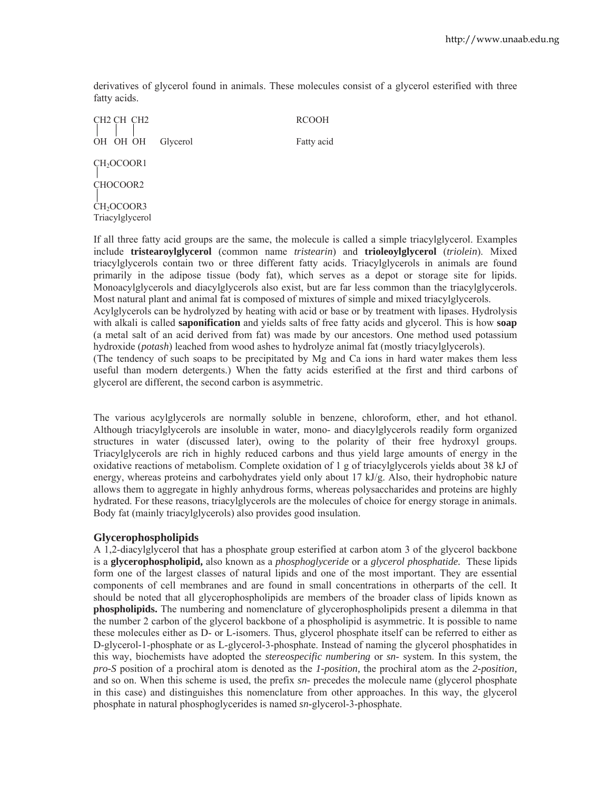derivatives of glycerol found in animals. These molecules consist of a glycerol esterified with three fatty acids.

CH2 CH CH2 RCOOH OH OH Glycerol Fatty acid CH2OCOOR1 CHOCOOR2 CH<sub>2</sub>OCOOR3 Triacylglycerol

If all three fatty acid groups are the same, the molecule is called a simple triacylglycerol. Examples include **tristearoylglycerol** (common name *tristearin*) and **trioleoylglycerol** (*triolein*). Mixed triacylglycerols contain two or three different fatty acids. Triacylglycerols in animals are found primarily in the adipose tissue (body fat), which serves as a depot or storage site for lipids. Monoacylglycerols and diacylglycerols also exist, but are far less common than the triacylglycerols. Most natural plant and animal fat is composed of mixtures of simple and mixed triacylglycerols.

Acylglycerols can be hydrolyzed by heating with acid or base or by treatment with lipases. Hydrolysis with alkali is called **saponification** and yields salts of free fatty acids and glycerol. This is how **soap**  (a metal salt of an acid derived from fat) was made by our ancestors. One method used potassium hydroxide (*potash*) leached from wood ashes to hydrolyze animal fat (mostly triacylglycerols).

(The tendency of such soaps to be precipitated by Mg and Ca ions in hard water makes them less useful than modern detergents.) When the fatty acids esterified at the first and third carbons of glycerol are different, the second carbon is asymmetric.

The various acylglycerols are normally soluble in benzene, chloroform, ether, and hot ethanol. Although triacylglycerols are insoluble in water, mono- and diacylglycerols readily form organized structures in water (discussed later), owing to the polarity of their free hydroxyl groups. Triacylglycerols are rich in highly reduced carbons and thus yield large amounts of energy in the oxidative reactions of metabolism. Complete oxidation of 1 g of triacylglycerols yields about 38 kJ of energy, whereas proteins and carbohydrates yield only about 17 kJ/g. Also, their hydrophobic nature allows them to aggregate in highly anhydrous forms, whereas polysaccharides and proteins are highly hydrated. For these reasons, triacylglycerols are the molecules of choice for energy storage in animals. Body fat (mainly triacylglycerols) also provides good insulation.

#### **Glycerophospholipids**

A 1,2-diacylglycerol that has a phosphate group esterified at carbon atom 3 of the glycerol backbone is a **glycerophospholipid,** also known as a *phosphoglyceride* or a *glycerol phosphatide.* These lipids form one of the largest classes of natural lipids and one of the most important. They are essential components of cell membranes and are found in small concentrations in otherparts of the cell. It should be noted that all glycerophospholipids are members of the broader class of lipids known as **phospholipids.** The numbering and nomenclature of glycerophospholipids present a dilemma in that the number 2 carbon of the glycerol backbone of a phospholipid is asymmetric. It is possible to name these molecules either as D- or L-isomers. Thus, glycerol phosphate itself can be referred to either as D-glycerol-1-phosphate or as L-glycerol-3-phosphate. Instead of naming the glycerol phosphatides in this way, biochemists have adopted the *stereospecific numbering* or *sn*- system. In this system, the *pro-S* position of a prochiral atom is denoted as the *1-position,* the prochiral atom as the *2-position,*  and so on. When this scheme is used, the prefix *sn-* precedes the molecule name (glycerol phosphate in this case) and distinguishes this nomenclature from other approaches. In this way, the glycerol phosphate in natural phosphoglycerides is named *sn*-glycerol-3-phosphate.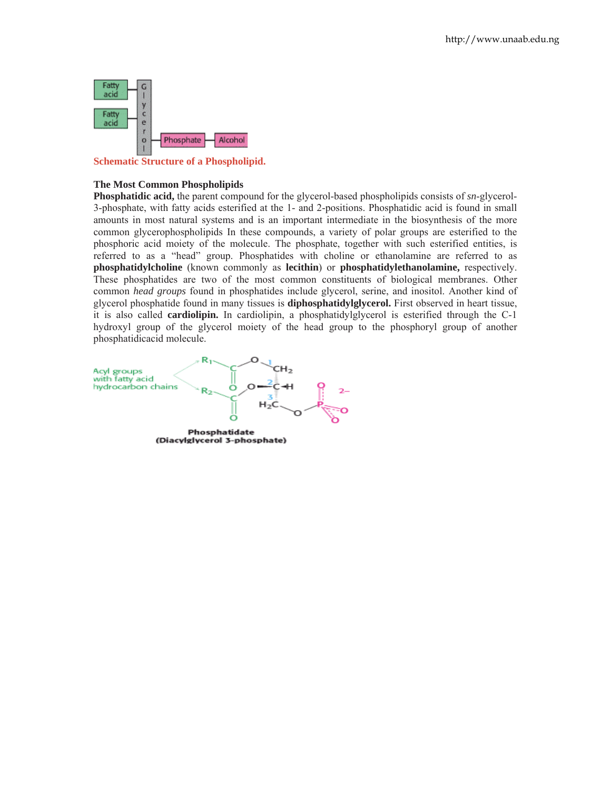

**Schematic Structure of a Phospholipid.**

#### **The Most Common Phospholipids**

**Phosphatidic acid,** the parent compound for the glycerol-based phospholipids consists of *sn*-glycerol-3-phosphate, with fatty acids esterified at the 1- and 2-positions. Phosphatidic acid is found in small amounts in most natural systems and is an important intermediate in the biosynthesis of the more common glycerophospholipids In these compounds, a variety of polar groups are esterified to the phosphoric acid moiety of the molecule. The phosphate, together with such esterified entities, is referred to as a "head" group. Phosphatides with choline or ethanolamine are referred to as **phosphatidylcholine** (known commonly as **lecithin**) or **phosphatidylethanolamine,** respectively. These phosphatides are two of the most common constituents of biological membranes. Other common *head groups* found in phosphatides include glycerol, serine, and inositol. Another kind of glycerol phosphatide found in many tissues is **diphosphatidylglycerol.** First observed in heart tissue, it is also called **cardiolipin.** In cardiolipin, a phosphatidylglycerol is esterified through the C-1 hydroxyl group of the glycerol moiety of the head group to the phosphoryl group of another phosphatidicacid molecule.



(Diacylglycerol 3-phosphate)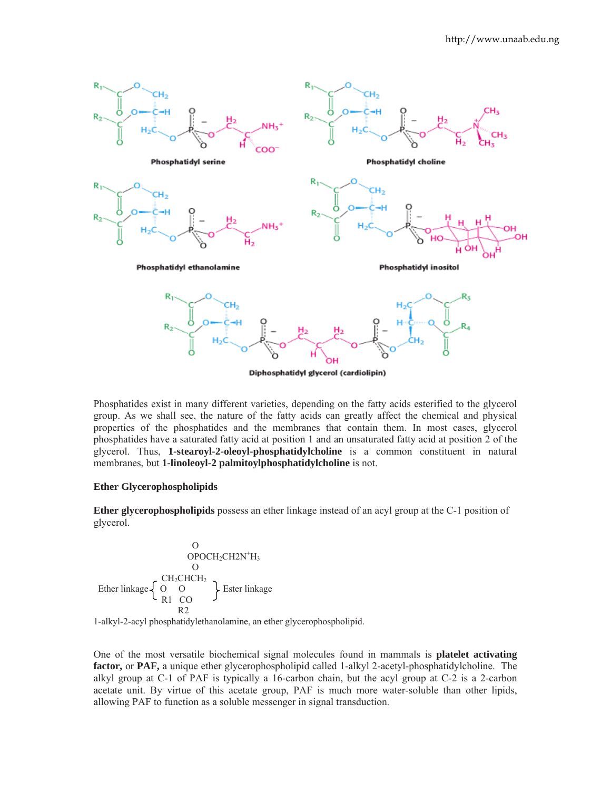

Phosphatides exist in many different varieties, depending on the fatty acids esterified to the glycerol group. As we shall see, the nature of the fatty acids can greatly affect the chemical and physical properties of the phosphatides and the membranes that contain them. In most cases, glycerol phosphatides have a saturated fatty acid at position 1 and an unsaturated fatty acid at position 2 of the glycerol. Thus, **1-stearoyl-2-oleoyl-phosphatidylcholine** is a common constituent in natural membranes, but **1-linoleoyl-2 palmitoylphosphatidylcholine** is not.

#### **Ether Glycerophospholipids**

**Ether glycerophospholipids** possess an ether linkage instead of an acyl group at the C-1 position of glycerol.



1-alkyl-2-acyl phosphatidylethanolamine, an ether glycerophospholipid.

One of the most versatile biochemical signal molecules found in mammals is **platelet activating factor,** or **PAF,** a unique ether glycerophospholipid called 1-alkyl 2-acetyl-phosphatidylcholine. The alkyl group at C-1 of PAF is typically a 16-carbon chain, but the acyl group at C-2 is a 2-carbon acetate unit. By virtue of this acetate group, PAF is much more water-soluble than other lipids, allowing PAF to function as a soluble messenger in signal transduction.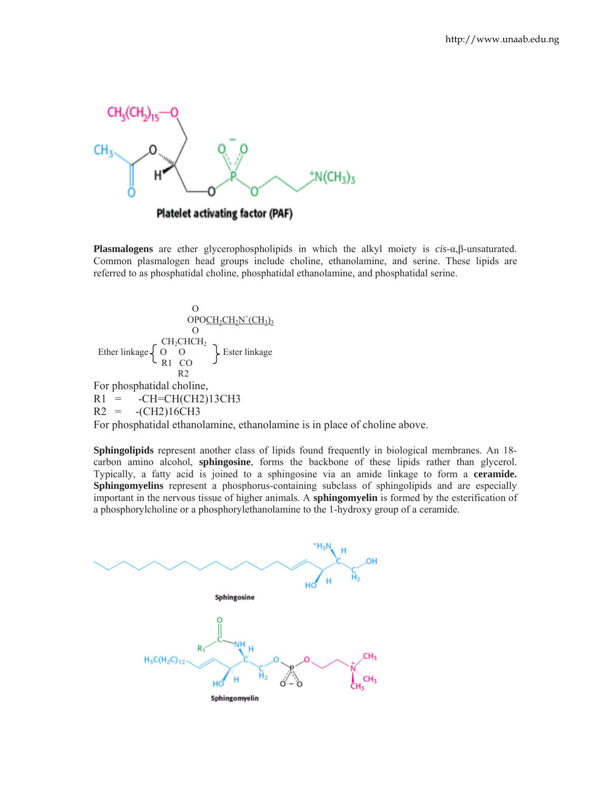

**Platelet activating factor (PAF)** 

**Plasmalogens** are ether glycerophospholipids in which the alkyl moiety is *cis*-α,β-unsaturated. Common plasmalogen head groups include choline, ethanolamine, and serine. These lipids are referred to as phosphatidal choline, phosphatidal ethanolamine, and phosphatidal serine.

$$
\begin{array}{c}\n0 \\
\text{OPOCH2CH2N+(CH3)3} \\
0 \\
\text{Ether linkage} \left\{\n\begin{array}{c}\n\text{CH2CHCHCH2} \\
0 & 0 \\
\text{R1 CO} \\
\text{R2}\n\end{array}\n\right\}
$$
\nEster linkage

For phosphatidal choline,  $R1 = -CH=CH(CH2)13CH3$ 

 $R2 = -(CH2)16CH3$ 

For phosphatidal ethanolamine, ethanolamine is in place of choline above.

**Sphingolipids** represent another class of lipids found frequently in biological membranes. An 18 carbon amino alcohol, **sphingosine**, forms the backbone of these lipids rather than glycerol. Typically, a fatty acid is joined to a sphingosine via an amide linkage to form a **ceramide. Sphingomyelins** represent a phosphorus-containing subclass of sphingolipids and are especially important in the nervous tissue of higher animals. A **sphingomyelin** is formed by the esterification of a phosphorylcholine or a phosphorylethanolamine to the 1-hydroxy group of a ceramide.

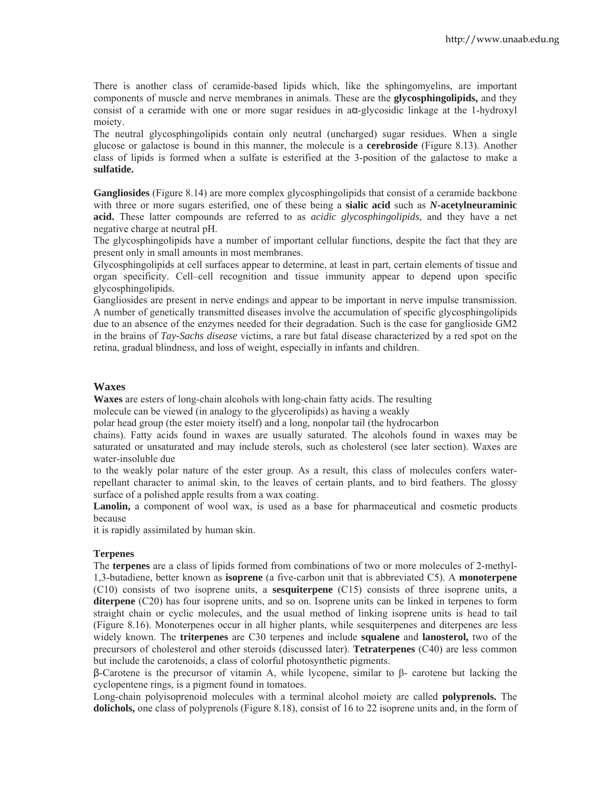There is another class of ceramide-based lipids which, like the sphingomyelins, are important components of muscle and nerve membranes in animals. These are the **glycosphingolipids,** and they consist of a ceramide with one or more sugar residues in aα-glycosidic linkage at the 1-hydroxyl moiety.

The neutral glycosphingolipids contain only neutral (uncharged) sugar residues. When a single glucose or galactose is bound in this manner, the molecule is a **cerebroside** (Figure 8.13). Another class of lipids is formed when a sulfate is esterified at the 3-position of the galactose to make a **sulfatide.**

**Gangliosides** (Figure 8.14) are more complex glycosphingolipids that consist of a ceramide backbone with three or more sugars esterified, one of these being a **sialic acid** such as *N***-acetylneuraminic acid.** These latter compounds are referred to as *acidic glycosphingolipids,* and they have a net negative charge at neutral pH.

The glycosphingolipids have a number of important cellular functions, despite the fact that they are present only in small amounts in most membranes.

Glycosphingolipids at cell surfaces appear to determine, at least in part, certain elements of tissue and organ specificity. Cell–cell recognition and tissue immunity appear to depend upon specific glycosphingolipids.

Gangliosides are present in nerve endings and appear to be important in nerve impulse transmission. A number of genetically transmitted diseases involve the accumulation of specific glycosphingolipids due to an absence of the enzymes needed for their degradation. Such is the case for ganglioside GM2 in the brains of *Tay-Sachs disease* victims, a rare but fatal disease characterized by a red spot on the retina, gradual blindness, and loss of weight, especially in infants and children.

#### **Waxes**

**Waxes** are esters of long-chain alcohols with long-chain fatty acids. The resulting

molecule can be viewed (in analogy to the glycerolipids) as having a weakly

polar head group (the ester moiety itself) and a long, nonpolar tail (the hydrocarbon

chains). Fatty acids found in waxes are usually saturated. The alcohols found in waxes may be saturated or unsaturated and may include sterols, such as cholesterol (see later section). Waxes are water-insoluble due

to the weakly polar nature of the ester group. As a result, this class of molecules confers waterrepellant character to animal skin, to the leaves of certain plants, and to bird feathers. The glossy surface of a polished apple results from a wax coating.

**Lanolin,** a component of wool wax, is used as a base for pharmaceutical and cosmetic products because

it is rapidly assimilated by human skin.

#### **Terpenes**

The **terpenes** are a class of lipids formed from combinations of two or more molecules of 2-methyl-1,3-butadiene, better known as **isoprene** (a five-carbon unit that is abbreviated C5). A **monoterpene**  (C10) consists of two isoprene units, a **sesquiterpene** (C15) consists of three isoprene units, a **diterpene** (C20) has four isoprene units, and so on. Isoprene units can be linked in terpenes to form straight chain or cyclic molecules, and the usual method of linking isoprene units is head to tail (Figure 8.16). Monoterpenes occur in all higher plants, while sesquiterpenes and diterpenes are less widely known. The **triterpenes** are C30 terpenes and include **squalene** and **lanosterol,** two of the precursors of cholesterol and other steroids (discussed later). **Tetraterpenes** (C40) are less common but include the carotenoids, a class of colorful photosynthetic pigments.

β-Carotene is the precursor of vitamin A, while lycopene, similar to β- carotene but lacking the cyclopentene rings, is a pigment found in tomatoes.

Long-chain polyisoprenoid molecules with a terminal alcohol moiety are called **polyprenols.** The **dolichols,** one class of polyprenols (Figure 8.18), consist of 16 to 22 isoprene units and, in the form of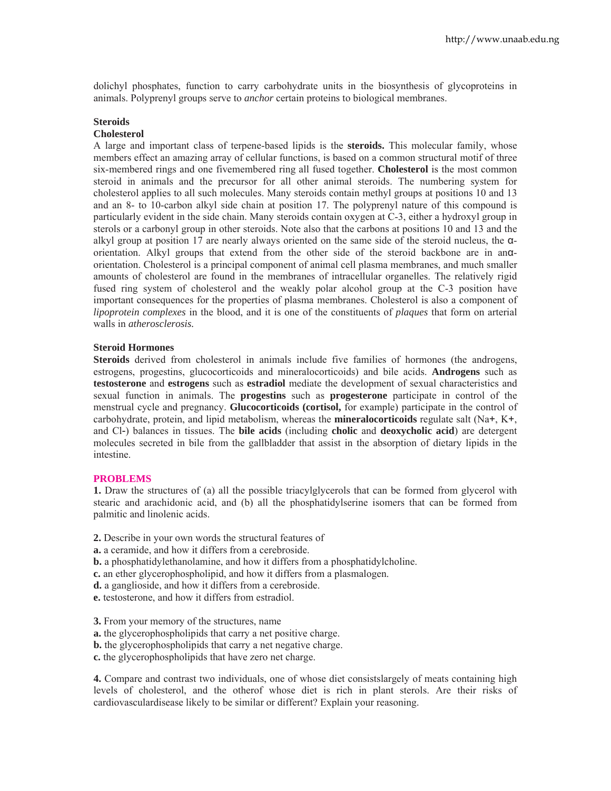dolichyl phosphates, function to carry carbohydrate units in the biosynthesis of glycoproteins in animals. Polyprenyl groups serve to *anchor* certain proteins to biological membranes.

#### **Steroids**

#### **Cholesterol**

A large and important class of terpene-based lipids is the **steroids.** This molecular family, whose members effect an amazing array of cellular functions, is based on a common structural motif of three six-membered rings and one fivemembered ring all fused together. **Cholesterol** is the most common steroid in animals and the precursor for all other animal steroids. The numbering system for cholesterol applies to all such molecules. Many steroids contain methyl groups at positions 10 and 13 and an 8- to 10-carbon alkyl side chain at position 17. The polyprenyl nature of this compound is particularly evident in the side chain. Many steroids contain oxygen at C-3, either a hydroxyl group in sterols or a carbonyl group in other steroids. Note also that the carbons at positions 10 and 13 and the alkyl group at position 17 are nearly always oriented on the same side of the steroid nucleus, the αorientation. Alkyl groups that extend from the other side of the steroid backbone are in anαorientation. Cholesterol is a principal component of animal cell plasma membranes, and much smaller amounts of cholesterol are found in the membranes of intracellular organelles. The relatively rigid fused ring system of cholesterol and the weakly polar alcohol group at the C-3 position have important consequences for the properties of plasma membranes. Cholesterol is also a component of *lipoprotein complexes* in the blood, and it is one of the constituents of *plaques* that form on arterial walls in *atherosclerosis.*

#### **Steroid Hormones**

**Steroids** derived from cholesterol in animals include five families of hormones (the androgens, estrogens, progestins, glucocorticoids and mineralocorticoids) and bile acids. **Androgens** such as **testosterone** and **estrogens** such as **estradiol** mediate the development of sexual characteristics and sexual function in animals. The **progestins** such as **progesterone** participate in control of the menstrual cycle and pregnancy. **Glucocorticoids (cortisol,** for example) participate in the control of carbohydrate, protein, and lipid metabolism, whereas the **mineralocorticoids** regulate salt (Na+, K+, and Cl-) balances in tissues. The **bile acids** (including **cholic** and **deoxycholic acid**) are detergent molecules secreted in bile from the gallbladder that assist in the absorption of dietary lipids in the intestine.

#### **PROBLEMS**

**1.** Draw the structures of (a) all the possible triacylglycerols that can be formed from glycerol with stearic and arachidonic acid, and (b) all the phosphatidylserine isomers that can be formed from palmitic and linolenic acids.

- **2.** Describe in your own words the structural features of
- **a.** a ceramide, and how it differs from a cerebroside.
- **b.** a phosphatidylethanolamine, and how it differs from a phosphatidylcholine.
- **c.** an ether glycerophospholipid, and how it differs from a plasmalogen.
- **d.** a ganglioside, and how it differs from a cerebroside.
- **e.** testosterone, and how it differs from estradiol.

**3.** From your memory of the structures, name

- **a.** the glycerophospholipids that carry a net positive charge.
- **b.** the glycerophospholipids that carry a net negative charge.
- **c.** the glycerophospholipids that have zero net charge.

**4.** Compare and contrast two individuals, one of whose diet consistslargely of meats containing high levels of cholesterol, and the otherof whose diet is rich in plant sterols. Are their risks of cardiovasculardisease likely to be similar or different? Explain your reasoning.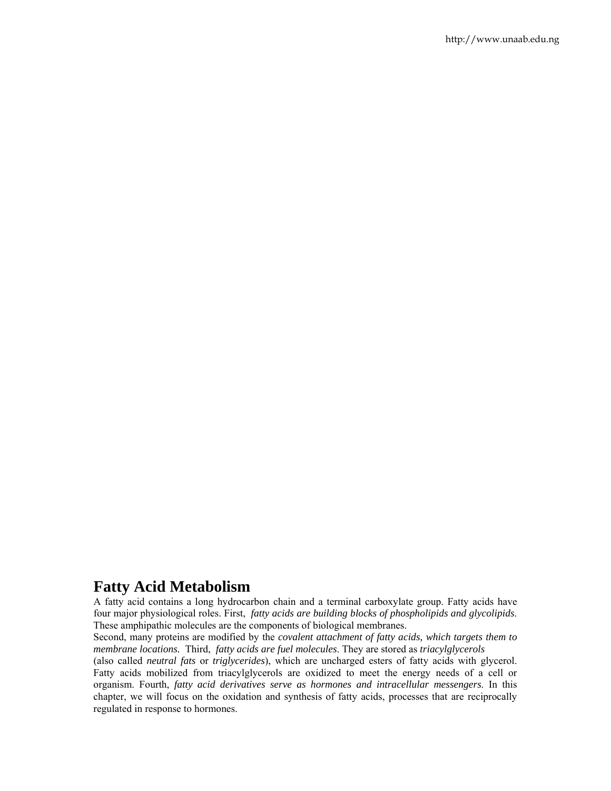# **Fatty Acid Metabolism**

A fatty acid contains a long hydrocarbon chain and a terminal carboxylate group. Fatty acids have four major physiological roles. First, *fatty acids are building blocks of phospholipids and glycolipids*. These amphipathic molecules are the components of biological membranes.

Second, many proteins are modified by the *covalent attachment of fatty acids, which targets them to membrane locations.* Third, *fatty acids are fuel molecules*. They are stored as *triacylglycerols* 

(also called *neutral fats* or *triglycerides*), which are uncharged esters of fatty acids with glycerol. Fatty acids mobilized from triacylglycerols are oxidized to meet the energy needs of a cell or organism. Fourth, *fatty acid derivatives serve as hormones and intracellular messengers*. In this chapter, we will focus on the oxidation and synthesis of fatty acids, processes that are reciprocally regulated in response to hormones.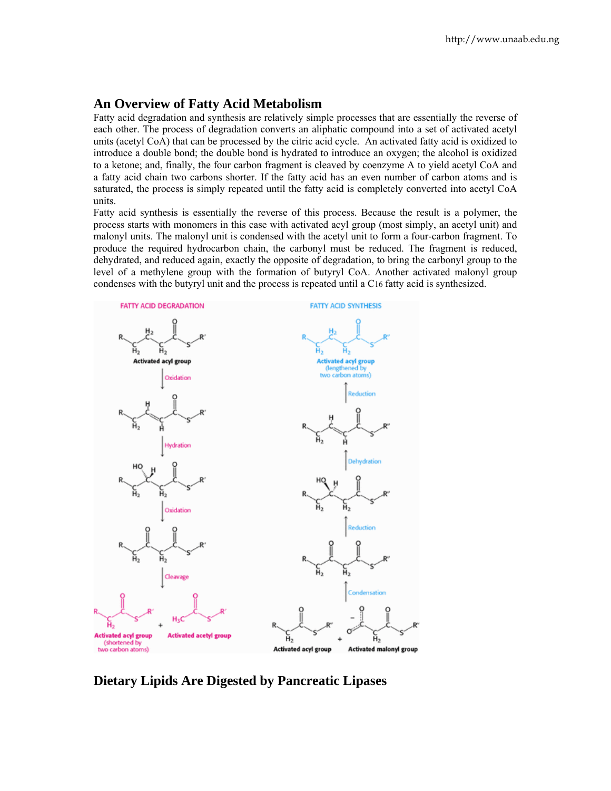### **An Overview of Fatty Acid Metabolism**

Fatty acid degradation and synthesis are relatively simple processes that are essentially the reverse of each other. The process of degradation converts an aliphatic compound into a set of activated acetyl units (acetyl CoA) that can be processed by the citric acid cycle. An activated fatty acid is oxidized to introduce a double bond; the double bond is hydrated to introduce an oxygen; the alcohol is oxidized to a ketone; and, finally, the four carbon fragment is cleaved by coenzyme A to yield acetyl CoA and a fatty acid chain two carbons shorter. If the fatty acid has an even number of carbon atoms and is saturated, the process is simply repeated until the fatty acid is completely converted into acetyl CoA units.

Fatty acid synthesis is essentially the reverse of this process. Because the result is a polymer, the process starts with monomers in this case with activated acyl group (most simply, an acetyl unit) and malonyl units. The malonyl unit is condensed with the acetyl unit to form a four-carbon fragment. To produce the required hydrocarbon chain, the carbonyl must be reduced. The fragment is reduced, dehydrated, and reduced again, exactly the opposite of degradation, to bring the carbonyl group to the level of a methylene group with the formation of butyryl CoA. Another activated malonyl group condenses with the butyryl unit and the process is repeated until a C16 fatty acid is synthesized.



**Dietary Lipids Are Digested by Pancreatic Lipases**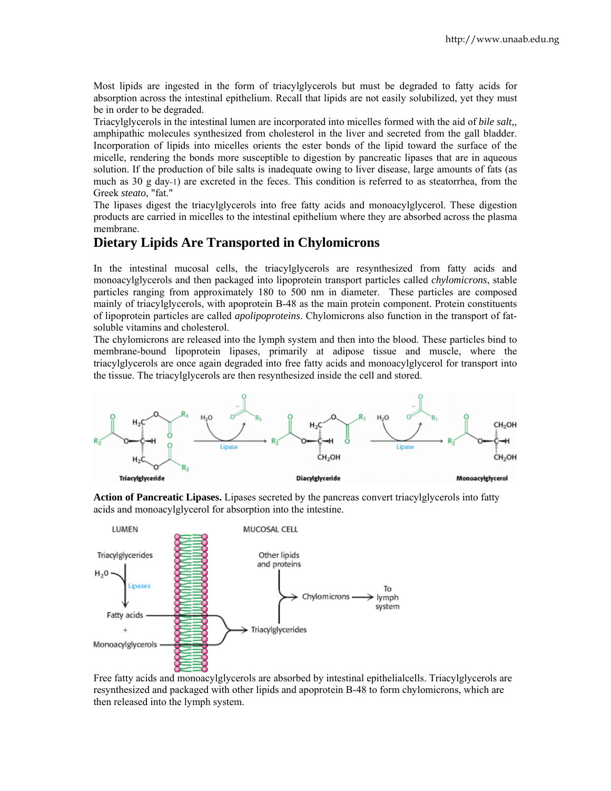Most lipids are ingested in the form of triacylglycerols but must be degraded to fatty acids for absorption across the intestinal epithelium. Recall that lipids are not easily solubilized, yet they must be in order to be degraded.

Triacylglycerols in the intestinal lumen are incorporated into micelles formed with the aid of *bile salt,*, amphipathic molecules synthesized from cholesterol in the liver and secreted from the gall bladder. Incorporation of lipids into micelles orients the ester bonds of the lipid toward the surface of the micelle, rendering the bonds more susceptible to digestion by pancreatic lipases that are in aqueous solution. If the production of bile salts is inadequate owing to liver disease, large amounts of fats (as much as 30 g day-1) are excreted in the feces. This condition is referred to as steatorrhea, from the Greek *steato*, "fat."

The lipases digest the triacylglycerols into free fatty acids and monoacylglycerol. These digestion products are carried in micelles to the intestinal epithelium where they are absorbed across the plasma membrane.

## **Dietary Lipids Are Transported in Chylomicrons**

In the intestinal mucosal cells, the triacylglycerols are resynthesized from fatty acids and monoacylglycerols and then packaged into lipoprotein transport particles called *chylomicrons*, stable particles ranging from approximately 180 to 500 nm in diameter. These particles are composed mainly of triacylglycerols, with apoprotein B-48 as the main protein component. Protein constituents of lipoprotein particles are called *apolipoproteins*. Chylomicrons also function in the transport of fatsoluble vitamins and cholesterol.

The chylomicrons are released into the lymph system and then into the blood. These particles bind to membrane-bound lipoprotein lipases, primarily at adipose tissue and muscle, where the triacylglycerols are once again degraded into free fatty acids and monoacylglycerol for transport into the tissue. The triacylglycerols are then resynthesized inside the cell and stored.







Free fatty acids and monoacylglycerols are absorbed by intestinal epithelialcells. Triacylglycerols are resynthesized and packaged with other lipids and apoprotein B-48 to form chylomicrons, which are then released into the lymph system.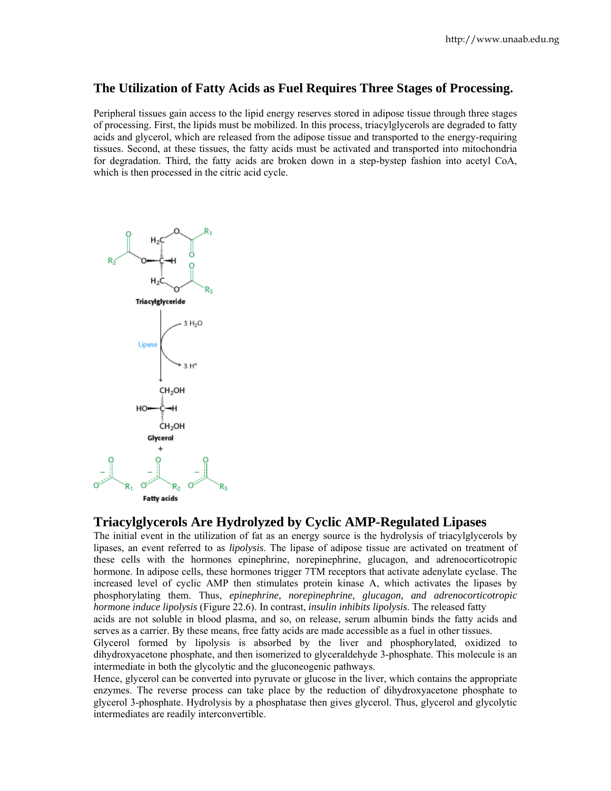## **The Utilization of Fatty Acids as Fuel Requires Three Stages of Processing.**

Peripheral tissues gain access to the lipid energy reserves stored in adipose tissue through three stages of processing. First, the lipids must be mobilized. In this process, triacylglycerols are degraded to fatty acids and glycerol, which are released from the adipose tissue and transported to the energy-requiring tissues. Second, at these tissues, the fatty acids must be activated and transported into mitochondria for degradation. Third, the fatty acids are broken down in a step-bystep fashion into acetyl CoA, which is then processed in the citric acid cycle.



### **Triacylglycerols Are Hydrolyzed by Cyclic AMP-Regulated Lipases**

The initial event in the utilization of fat as an energy source is the hydrolysis of triacylglycerols by lipases, an event referred to as *lipolysis*. The lipase of adipose tissue are activated on treatment of these cells with the hormones epinephrine, norepinephrine, glucagon, and adrenocorticotropic hormone. In adipose cells, these hormones trigger 7TM receptors that activate adenylate cyclase. The increased level of cyclic AMP then stimulates protein kinase A, which activates the lipases by phosphorylating them. Thus, *epinephrine, norepinephrine, glucagon, and adrenocorticotropic hormone induce lipolysis* (Figure 22.6). In contrast, *insulin inhibits lipolysis*. The released fatty

acids are not soluble in blood plasma, and so, on release, serum albumin binds the fatty acids and serves as a carrier. By these means, free fatty acids are made accessible as a fuel in other tissues.

Glycerol formed by lipolysis is absorbed by the liver and phosphorylated, oxidized to dihydroxyacetone phosphate, and then isomerized to glyceraldehyde 3-phosphate. This molecule is an intermediate in both the glycolytic and the gluconeogenic pathways.

Hence, glycerol can be converted into pyruvate or glucose in the liver, which contains the appropriate enzymes. The reverse process can take place by the reduction of dihydroxyacetone phosphate to glycerol 3-phosphate. Hydrolysis by a phosphatase then gives glycerol. Thus, glycerol and glycolytic intermediates are readily interconvertible.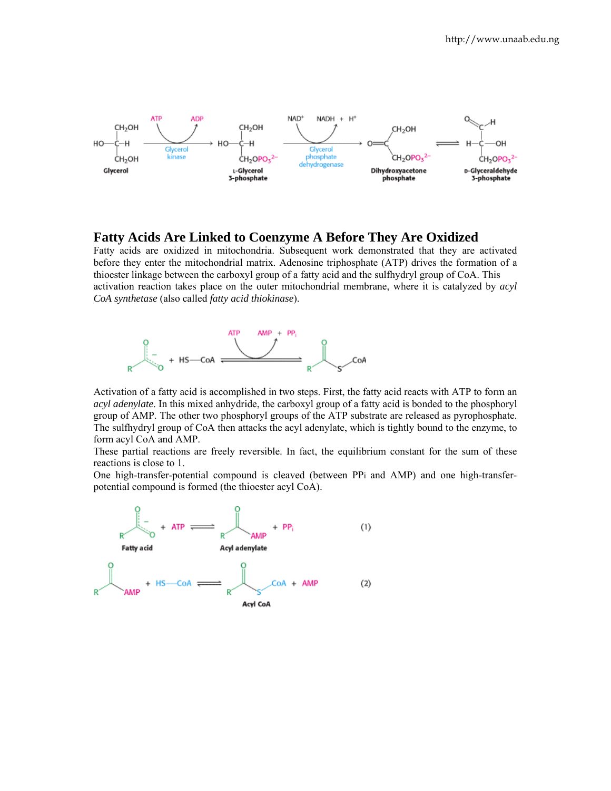

#### **Fatty Acids Are Linked to Coenzyme A Before They Are Oxidized**

Fatty acids are oxidized in mitochondria. Subsequent work demonstrated that they are activated before they enter the mitochondrial matrix. Adenosine triphosphate (ATP) drives the formation of a thioester linkage between the carboxyl group of a fatty acid and the sulfhydryl group of CoA. This activation reaction takes place on the outer mitochondrial membrane, where it is catalyzed by *acyl CoA synthetase* (also called *fatty acid thiokinase*).



Activation of a fatty acid is accomplished in two steps. First, the fatty acid reacts with ATP to form an *acyl adenylate*. In this mixed anhydride, the carboxyl group of a fatty acid is bonded to the phosphoryl group of AMP. The other two phosphoryl groups of the ATP substrate are released as pyrophosphate. The sulfhydryl group of CoA then attacks the acyl adenylate, which is tightly bound to the enzyme, to form acyl CoA and AMP.

These partial reactions are freely reversible. In fact, the equilibrium constant for the sum of these reactions is close to 1.

One high-transfer-potential compound is cleaved (between PPi and AMP) and one high-transferpotential compound is formed (the thioester acyl CoA).

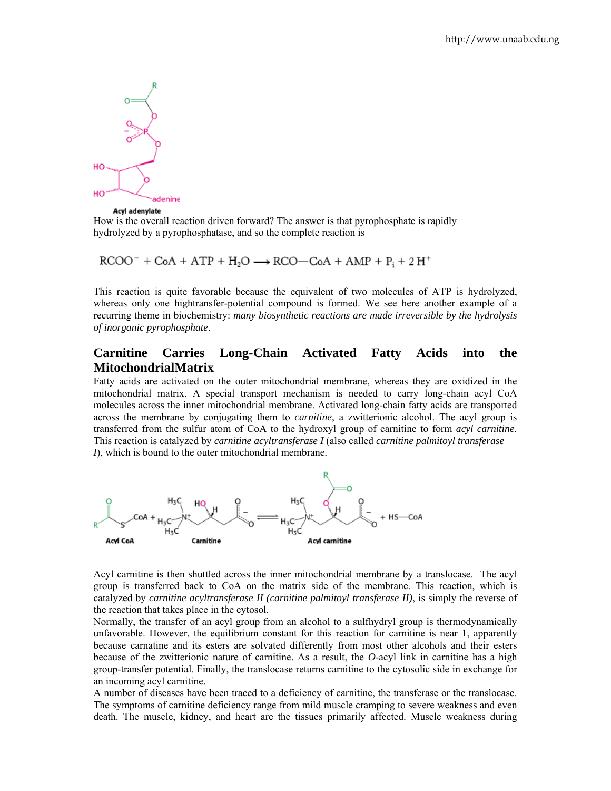

How is the overall reaction driven forward? The answer is that pyrophosphate is rapidly hydrolyzed by a pyrophosphatase, and so the complete reaction is

$$
RCOO^{-} + CoA + ATP + H2O \longrightarrow RCO - CoA + AMP + Pi + 2H+
$$

This reaction is quite favorable because the equivalent of two molecules of ATP is hydrolyzed, whereas only one hightransfer-potential compound is formed. We see here another example of a recurring theme in biochemistry: *many biosynthetic reactions are made irreversible by the hydrolysis of inorganic pyrophosphate*.

### **Carnitine Carries Long-Chain Activated Fatty Acids into the MitochondrialMatrix**

Fatty acids are activated on the outer mitochondrial membrane, whereas they are oxidized in the mitochondrial matrix. A special transport mechanism is needed to carry long-chain acyl CoA molecules across the inner mitochondrial membrane. Activated long-chain fatty acids are transported across the membrane by conjugating them to *carnitine*, a zwitterionic alcohol. The acyl group is transferred from the sulfur atom of CoA to the hydroxyl group of carnitine to form *acyl carnitine*. This reaction is catalyzed by *carnitine acyltransferase I* (also called *carnitine palmitoyl transferase I*), which is bound to the outer mitochondrial membrane.



Acyl carnitine is then shuttled across the inner mitochondrial membrane by a translocase. The acyl group is transferred back to CoA on the matrix side of the membrane. This reaction, which is catalyzed by *carnitine acyltransferase II (carnitine palmitoyl transferase II)*, is simply the reverse of the reaction that takes place in the cytosol.

Normally, the transfer of an acyl group from an alcohol to a sulfhydryl group is thermodynamically unfavorable. However, the equilibrium constant for this reaction for carnitine is near 1, apparently because carnatine and its esters are solvated differently from most other alcohols and their esters because of the zwitterionic nature of carnitine. As a result, the *O*-acyl link in carnitine has a high group-transfer potential. Finally, the translocase returns carnitine to the cytosolic side in exchange for an incoming acyl carnitine.

A number of diseases have been traced to a deficiency of carnitine, the transferase or the translocase. The symptoms of carnitine deficiency range from mild muscle cramping to severe weakness and even death. The muscle, kidney, and heart are the tissues primarily affected. Muscle weakness during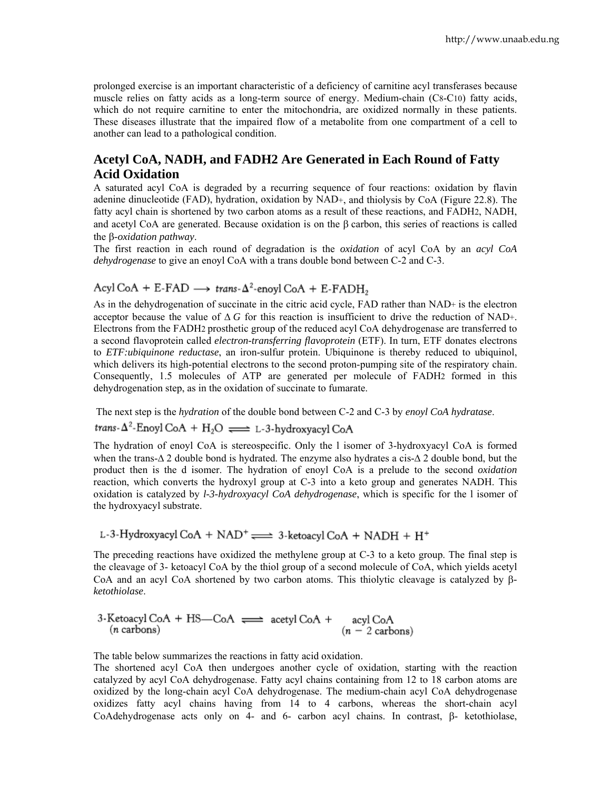prolonged exercise is an important characteristic of a deficiency of carnitine acyl transferases because muscle relies on fatty acids as a long-term source of energy. Medium-chain (C8-C10) fatty acids, which do not require carnitine to enter the mitochondria, are oxidized normally in these patients. These diseases illustrate that the impaired flow of a metabolite from one compartment of a cell to another can lead to a pathological condition.

# **Acetyl CoA, NADH, and FADH2 Are Generated in Each Round of Fatty Acid Oxidation**

A saturated acyl CoA is degraded by a recurring sequence of four reactions: oxidation by flavin adenine dinucleotide (FAD), hydration, oxidation by NAD+, and thiolysis by CoA (Figure 22.8). The fatty acyl chain is shortened by two carbon atoms as a result of these reactions, and FADH2, NADH, and acetyl CoA are generated. Because oxidation is on the β carbon, this series of reactions is called the β*-oxidation pathway*.

The first reaction in each round of degradation is the *oxidation* of acyl CoA by an *acyl CoA dehydrogenase* to give an enoyl CoA with a trans double bond between C-2 and C-3.

### Acyl CoA + E-FAD  $\longrightarrow$  trans- $\Delta^2$ -enoyl CoA + E-FADH,

As in the dehydrogenation of succinate in the citric acid cycle, FAD rather than NAD+ is the electron acceptor because the value of  $\Delta G$  for this reaction is insufficient to drive the reduction of NAD+. Electrons from the FADH2 prosthetic group of the reduced acyl CoA dehydrogenase are transferred to a second flavoprotein called *electron-transferring flavoprotein* (ETF). In turn, ETF donates electrons to *ETF:ubiquinone reductase*, an iron-sulfur protein. Ubiquinone is thereby reduced to ubiquinol, which delivers its high-potential electrons to the second proton-pumping site of the respiratory chain. Consequently, 1.5 molecules of ATP are generated per molecule of FADH2 formed in this dehydrogenation step, as in the oxidation of succinate to fumarate.

The next step is the *hydration* of the double bond between C-2 and C-3 by *enoyl CoA hydratase*.

# trans- $\Delta^2$ -Enoyl CoA + H<sub>2</sub>O  $\implies$  L-3-hydroxyacyl CoA

The hydration of enoyl CoA is stereospecific. Only the l isomer of 3-hydroxyacyl CoA is formed when the trans- $\Delta$  2 double bond is hydrated. The enzyme also hydrates a cis- $\Delta$  2 double bond, but the product then is the d isomer. The hydration of enoyl CoA is a prelude to the second *oxidation*  reaction, which converts the hydroxyl group at C-3 into a keto group and generates NADH. This oxidation is catalyzed by *l-3-hydroxyacyl CoA dehydrogenase*, which is specific for the l isomer of the hydroxyacyl substrate.

## L-3-Hydroxyacyl CoA + NAD<sup>+</sup>  $\implies$  3-ketoacyl CoA + NADH + H<sup>+</sup>

The preceding reactions have oxidized the methylene group at C-3 to a keto group. The final step is the cleavage of 3- ketoacyl CoA by the thiol group of a second molecule of CoA, which yields acetyl CoA and an acyl CoA shortened by two carbon atoms. This thiolytic cleavage is catalyzed by β*ketothiolase*.

3-Ketoacyl CoA + HS—CoA 
$$
\Longleftarrow
$$
 acetyl CoA + acyl CoA  
(*n* carbons) (*n* - 2 carbons)

The table below summarizes the reactions in fatty acid oxidation.

The shortened acyl CoA then undergoes another cycle of oxidation, starting with the reaction catalyzed by acyl CoA dehydrogenase. Fatty acyl chains containing from 12 to 18 carbon atoms are oxidized by the long-chain acyl CoA dehydrogenase. The medium-chain acyl CoA dehydrogenase oxidizes fatty acyl chains having from 14 to 4 carbons, whereas the short-chain acyl CoAdehydrogenase acts only on 4- and 6- carbon acyl chains. In contrast, β- ketothiolase,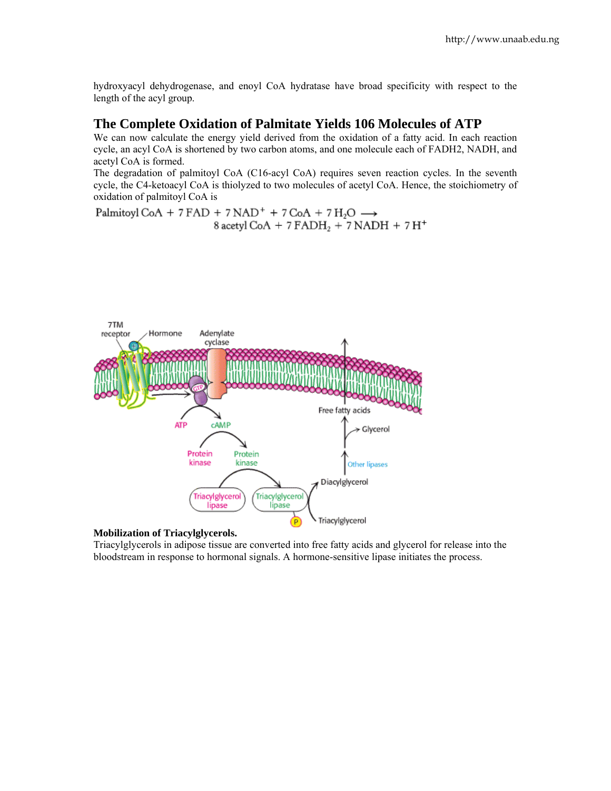hydroxyacyl dehydrogenase, and enoyl CoA hydratase have broad specificity with respect to the length of the acyl group.

## **The Complete Oxidation of Palmitate Yields 106 Molecules of ATP**

We can now calculate the energy yield derived from the oxidation of a fatty acid. In each reaction cycle, an acyl CoA is shortened by two carbon atoms, and one molecule each of FADH2, NADH, and acetyl CoA is formed.

The degradation of palmitoyl CoA (C16-acyl CoA) requires seven reaction cycles. In the seventh cycle, the C4-ketoacyl CoA is thiolyzed to two molecules of acetyl CoA. Hence, the stoichiometry of oxidation of palmitoyl CoA is

 $\begin{array}{c} \textrm{Palmitoyl CoA} + 7 \, \textrm{FAD} + 7 \, \textrm{NAD}^+ \, + 7 \, \textrm{CoA} + 7 \, \textrm{H}_2\textrm{O} \stackrel{\displaystyle\longrightarrow}{\longrightarrow} \\ \textrm{8 acetyl CoA} + 7 \, \textrm{FADH}_2 + 7 \, \textrm{NADH} + 7 \, \textrm{H}^+ \end{array}$ 



#### **Mobilization of Triacylglycerols.**

Triacylglycerols in adipose tissue are converted into free fatty acids and glycerol for release into the bloodstream in response to hormonal signals. A hormone-sensitive lipase initiates the process.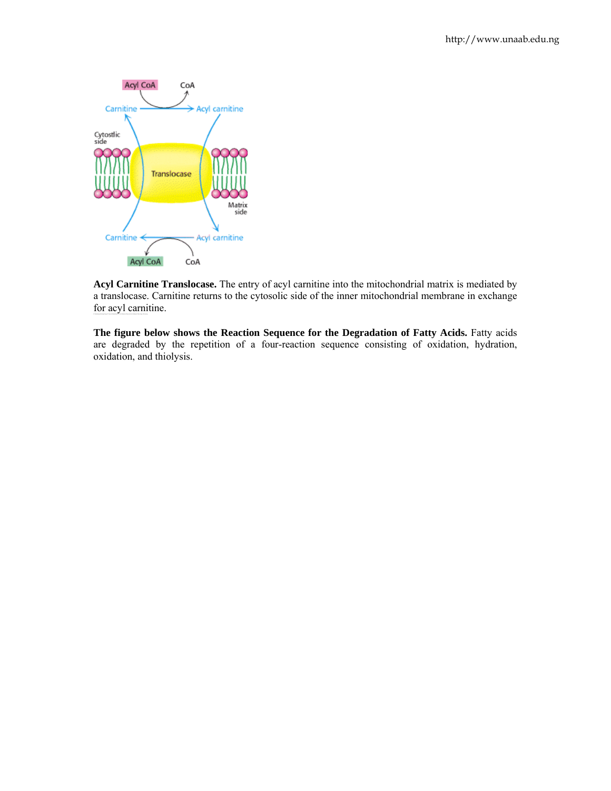

**Acyl Carnitine Translocase.** The entry of acyl carnitine into the mitochondrial matrix is mediated by a translocase. Carnitine returns to the cytosolic side of the inner mitochondrial membrane in exchange for acyl carnitine.

**The figure below shows the Reaction Sequence for the Degradation of Fatty Acids.** Fatty acids are degraded by the repetition of a four-reaction sequence consisting of oxidation, hydration, oxidation, and thiolysis.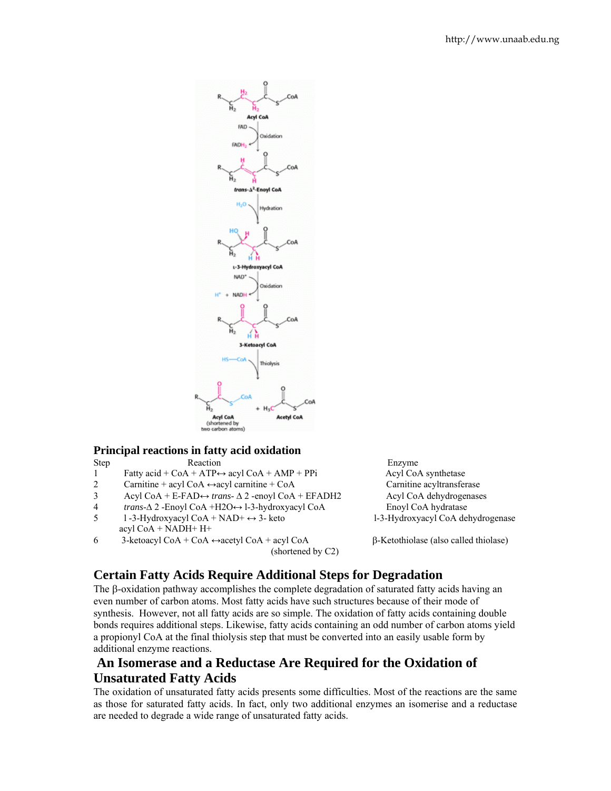

### **Principal reactions in fatty acid oxidation**

- 1 Fatty acid + CoA + ATP $\leftrightarrow$  acyl CoA + AMP + PPi Acyl CoA synthetase
- 
- 2 Carnitine + acyl CoA  $\leftrightarrow$ acyl carnitine + CoA Carnitine acyltransferase<br>  $3$  Acyl CoA + E-FAD $\leftrightarrow$  trans-  $\Delta$  2 -enoyl CoA + EFADH2 Acyl CoA dehydrogenase Acyl CoA + E-FAD ← *trans*- Δ 2 -enoyl CoA + EFADH2 Acyl CoA dehydrogenases
- 4 *trans*-Δ 2 -Enoyl CoA +H2O ↔ 1-3-hydroxyacyl CoA Enoyl CoA hydratase
- 5  $1 3$ -Hydroxyacyl CoA + NAD+  $\leftrightarrow$  3- keto l-3-Hydroxyacyl CoA dehydrogenase acyl CoA + NADH+ H+

```
6 3-ketoacyl CoA + CoA \leftrightarrowacetyl CoA + acyl CoA \beta-Ketothiolase (also called thiolase)
                                           (shortened by C2)
```
Step Reaction Reaction Enzyme

## **Certain Fatty Acids Require Additional Steps for Degradation**

The β-oxidation pathway accomplishes the complete degradation of saturated fatty acids having an even number of carbon atoms. Most fatty acids have such structures because of their mode of synthesis. However, not all fatty acids are so simple. The oxidation of fatty acids containing double bonds requires additional steps. Likewise, fatty acids containing an odd number of carbon atoms yield a propionyl CoA at the final thiolysis step that must be converted into an easily usable form by additional enzyme reactions.

# **An Isomerase and a Reductase Are Required for the Oxidation of Unsaturated Fatty Acids**

The oxidation of unsaturated fatty acids presents some difficulties. Most of the reactions are the same as those for saturated fatty acids. In fact, only two additional enzymes an isomerise and a reductase are needed to degrade a wide range of unsaturated fatty acids.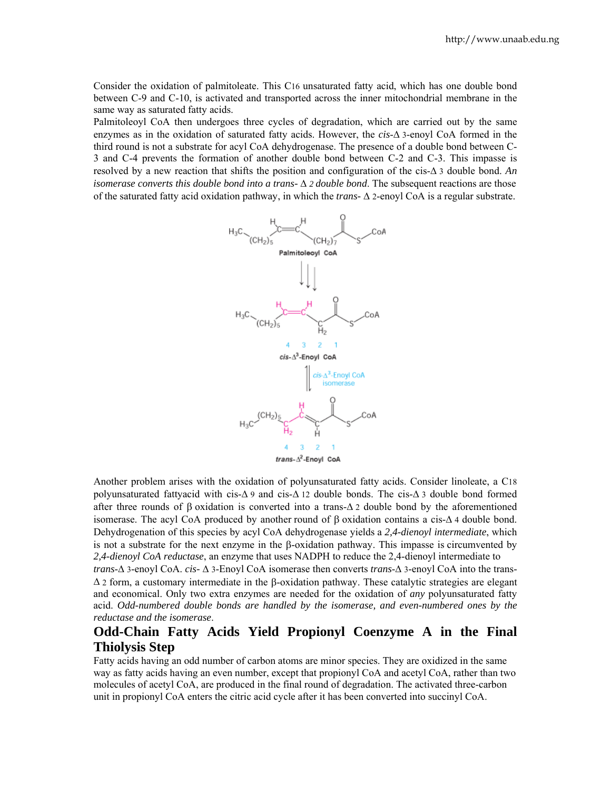Consider the oxidation of palmitoleate. This C16 unsaturated fatty acid, which has one double bond between C-9 and C-10, is activated and transported across the inner mitochondrial membrane in the same way as saturated fatty acids.

Palmitoleoyl CoA then undergoes three cycles of degradation, which are carried out by the same enzymes as in the oxidation of saturated fatty acids. However, the *cis*-Δ 3-enoyl CoA formed in the third round is not a substrate for acyl CoA dehydrogenase. The presence of a double bond between C-3 and C-4 prevents the formation of another double bond between C-2 and C-3. This impasse is resolved by a new reaction that shifts the position and configuration of the cis-Δ 3 double bond. *An isomerase converts this double bond into a trans-* Δ *2 double bond*. The subsequent reactions are those of the saturated fatty acid oxidation pathway, in which the *trans-* Δ 2-enoyl CoA is a regular substrate.



Another problem arises with the oxidation of polyunsaturated fatty acids. Consider linoleate, a C18 polyunsaturated fattyacid with cis-Δ 9 and cis-Δ 12 double bonds. The cis-Δ 3 double bond formed after three rounds of  $\beta$  oxidation is converted into a trans- $\Delta$  2 double bond by the aforementioned isomerase. The acyl CoA produced by another round of β oxidation contains a cis-Δ 4 double bond. Dehydrogenation of this species by acyl CoA dehydrogenase yields a *2,4-dienoyl intermediate*, which is not a substrate for the next enzyme in the β-oxidation pathway. This impasse is circumvented by *2,4-dienoyl CoA reductase*, an enzyme that uses NADPH to reduce the 2,4-dienoyl intermediate to

*trans*-Δ 3-enoyl CoA. *cis-* Δ 3-Enoyl CoA isomerase then converts *trans*-Δ 3-enoyl CoA into the trans-Δ 2 form, a customary intermediate in the β-oxidation pathway. These catalytic strategies are elegant and economical. Only two extra enzymes are needed for the oxidation of *any* polyunsaturated fatty acid. *Odd-numbered double bonds are handled by the isomerase, and even-numbered ones by the reductase and the isomerase*.

## **Odd-Chain Fatty Acids Yield Propionyl Coenzyme A in the Final Thiolysis Step**

Fatty acids having an odd number of carbon atoms are minor species. They are oxidized in the same way as fatty acids having an even number, except that propionyl CoA and acetyl CoA, rather than two molecules of acetyl CoA, are produced in the final round of degradation. The activated three-carbon unit in propionyl CoA enters the citric acid cycle after it has been converted into succinyl CoA.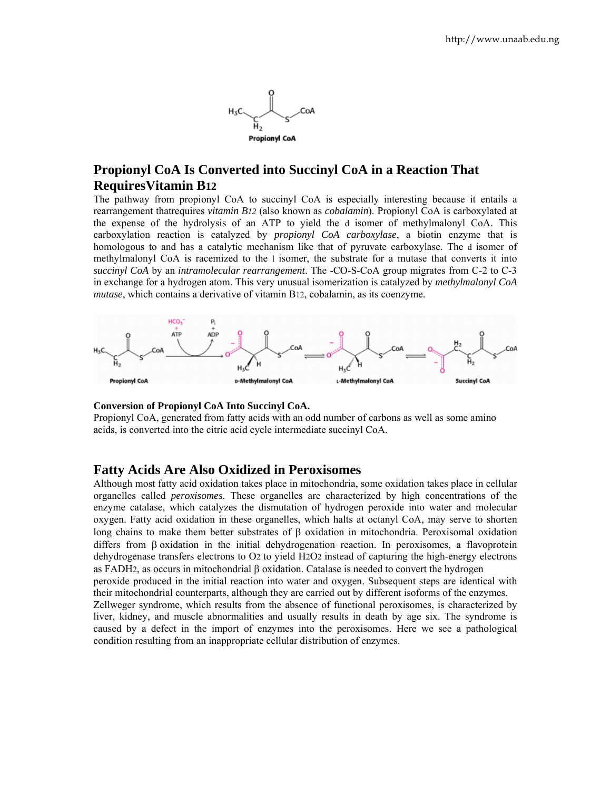

# **Propionyl CoA Is Converted into Succinyl CoA in a Reaction That RequiresVitamin B12**

The pathway from propionyl CoA to succinyl CoA is especially interesting because it entails a rearrangement thatrequires *vitamin B12* (also known as *cobalamin*). Propionyl CoA is carboxylated at the expense of the hydrolysis of an ATP to yield the d isomer of methylmalonyl CoA. This carboxylation reaction is catalyzed by *propionyl CoA carboxylase*, a biotin enzyme that is homologous to and has a catalytic mechanism like that of pyruvate carboxylase. The d isomer of methylmalonyl CoA is racemized to the l isomer, the substrate for a mutase that converts it into *succinyl CoA* by an *intramolecular rearrangement*. The -CO-S-CoA group migrates from C-2 to C-3 in exchange for a hydrogen atom. This very unusual isomerization is catalyzed by *methylmalonyl CoA mutase*, which contains a derivative of vitamin B12, cobalamin, as its coenzyme.



#### **Conversion of Propionyl CoA Into Succinyl CoA.**

Propionyl CoA, generated from fatty acids with an odd number of carbons as well as some amino acids, is converted into the citric acid cycle intermediate succinyl CoA.

#### **Fatty Acids Are Also Oxidized in Peroxisomes**

Although most fatty acid oxidation takes place in mitochondria, some oxidation takes place in cellular organelles called *peroxisomes*. These organelles are characterized by high concentrations of the enzyme catalase, which catalyzes the dismutation of hydrogen peroxide into water and molecular oxygen. Fatty acid oxidation in these organelles, which halts at octanyl CoA, may serve to shorten long chains to make them better substrates of β oxidation in mitochondria. Peroxisomal oxidation differs from β oxidation in the initial dehydrogenation reaction. In peroxisomes, a flavoprotein dehydrogenase transfers electrons to O2 to yield H2O2 instead of capturing the high-energy electrons as FADH2, as occurs in mitochondrial β oxidation. Catalase is needed to convert the hydrogen peroxide produced in the initial reaction into water and oxygen. Subsequent steps are identical with their mitochondrial counterparts, although they are carried out by different isoforms of the enzymes. Zellweger syndrome, which results from the absence of functional peroxisomes, is characterized by liver, kidney, and muscle abnormalities and usually results in death by age six. The syndrome is caused by a defect in the import of enzymes into the peroxisomes. Here we see a pathological condition resulting from an inappropriate cellular distribution of enzymes.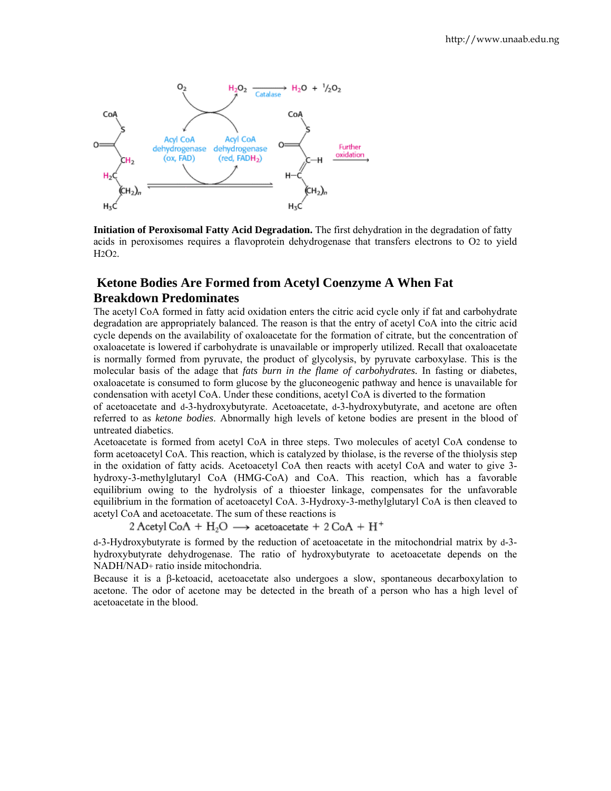

**Initiation of Peroxisomal Fatty Acid Degradation.** The first dehydration in the degradation of fatty acids in peroxisomes requires a flavoprotein dehydrogenase that transfers electrons to O2 to yield H2O2.

## **Ketone Bodies Are Formed from Acetyl Coenzyme A When Fat Breakdown Predominates**

The acetyl CoA formed in fatty acid oxidation enters the citric acid cycle only if fat and carbohydrate degradation are appropriately balanced. The reason is that the entry of acetyl CoA into the citric acid cycle depends on the availability of oxaloacetate for the formation of citrate, but the concentration of oxaloacetate is lowered if carbohydrate is unavailable or improperly utilized. Recall that oxaloacetate is normally formed from pyruvate, the product of glycolysis, by pyruvate carboxylase. This is the molecular basis of the adage that *fats burn in the flame of carbohydrates.* In fasting or diabetes, oxaloacetate is consumed to form glucose by the gluconeogenic pathway and hence is unavailable for condensation with acetyl CoA. Under these conditions, acetyl CoA is diverted to the formation

of acetoacetate and d-3-hydroxybutyrate. Acetoacetate, d-3-hydroxybutyrate, and acetone are often referred to as *ketone bodies*. Abnormally high levels of ketone bodies are present in the blood of untreated diabetics.

Acetoacetate is formed from acetyl CoA in three steps. Two molecules of acetyl CoA condense to form acetoacetyl CoA. This reaction, which is catalyzed by thiolase, is the reverse of the thiolysis step in the oxidation of fatty acids. Acetoacetyl CoA then reacts with acetyl CoA and water to give 3 hydroxy-3-methylglutaryl CoA (HMG-CoA) and CoA. This reaction, which has a favorable equilibrium owing to the hydrolysis of a thioester linkage, compensates for the unfavorable equilibrium in the formation of acetoacetyl CoA. 3-Hydroxy-3-methylglutaryl CoA is then cleaved to acetyl CoA and acetoacetate. The sum of these reactions is

2 Acetyl CoA +  $H_2O \longrightarrow$  acetoacetate + 2 CoA +  $H^+$ 

d-3-Hydroxybutyrate is formed by the reduction of acetoacetate in the mitochondrial matrix by d-3 hydroxybutyrate dehydrogenase. The ratio of hydroxybutyrate to acetoacetate depends on the NADH/NAD+ ratio inside mitochondria.

Because it is a β-ketoacid, acetoacetate also undergoes a slow, spontaneous decarboxylation to acetone. The odor of acetone may be detected in the breath of a person who has a high level of acetoacetate in the blood.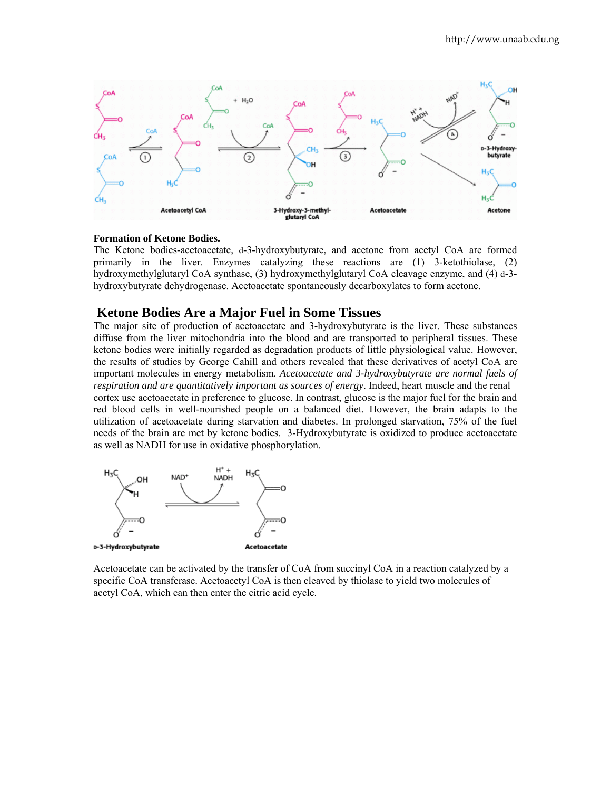

#### **Formation of Ketone Bodies.**

The Ketone bodies-acetoacetate, d-3-hydroxybutyrate, and acetone from acetyl CoA are formed primarily in the liver. Enzymes catalyzing these reactions are (1) 3-ketothiolase, (2) hydroxymethylglutaryl CoA synthase, (3) hydroxymethylglutaryl CoA cleavage enzyme, and (4) d-3 hydroxybutyrate dehydrogenase. Acetoacetate spontaneously decarboxylates to form acetone.

### **Ketone Bodies Are a Major Fuel in Some Tissues**

The major site of production of acetoacetate and 3-hydroxybutyrate is the liver. These substances diffuse from the liver mitochondria into the blood and are transported to peripheral tissues. These ketone bodies were initially regarded as degradation products of little physiological value. However, the results of studies by George Cahill and others revealed that these derivatives of acetyl CoA are important molecules in energy metabolism. *Acetoacetate and 3-hydroxybutyrate are normal fuels of respiration and are quantitatively important as sources of energy*. Indeed, heart muscle and the renal cortex use acetoacetate in preference to glucose. In contrast, glucose is the major fuel for the brain and red blood cells in well-nourished people on a balanced diet. However, the brain adapts to the utilization of acetoacetate during starvation and diabetes. In prolonged starvation, 75% of the fuel needs of the brain are met by ketone bodies. 3-Hydroxybutyrate is oxidized to produce acetoacetate as well as NADH for use in oxidative phosphorylation.



Acetoacetate can be activated by the transfer of CoA from succinyl CoA in a reaction catalyzed by a specific CoA transferase. Acetoacetyl CoA is then cleaved by thiolase to yield two molecules of acetyl CoA, which can then enter the citric acid cycle.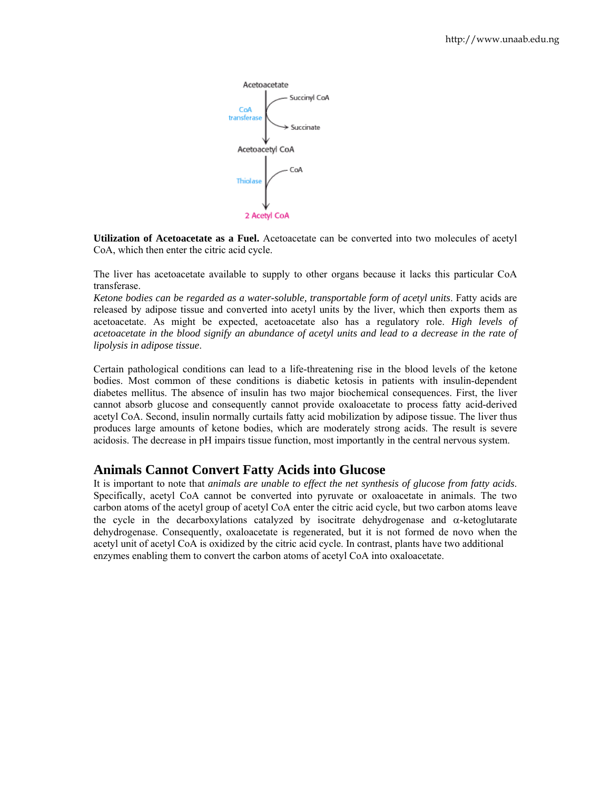

**Utilization of Acetoacetate as a Fuel.** Acetoacetate can be converted into two molecules of acetyl CoA, which then enter the citric acid cycle.

The liver has acetoacetate available to supply to other organs because it lacks this particular CoA transferase.

*Ketone bodies can be regarded as a water-soluble, transportable form of acetyl units*. Fatty acids are released by adipose tissue and converted into acetyl units by the liver, which then exports them as acetoacetate. As might be expected, acetoacetate also has a regulatory role. *High levels of acetoacetate in the blood signify an abundance of acetyl units and lead to a decrease in the rate of lipolysis in adipose tissue*.

Certain pathological conditions can lead to a life-threatening rise in the blood levels of the ketone bodies. Most common of these conditions is diabetic ketosis in patients with insulin-dependent diabetes mellitus. The absence of insulin has two major biochemical consequences. First, the liver cannot absorb glucose and consequently cannot provide oxaloacetate to process fatty acid-derived acetyl CoA. Second, insulin normally curtails fatty acid mobilization by adipose tissue. The liver thus produces large amounts of ketone bodies, which are moderately strong acids. The result is severe acidosis. The decrease in pH impairs tissue function, most importantly in the central nervous system.

### **Animals Cannot Convert Fatty Acids into Glucose**

It is important to note that *animals are unable to effect the net synthesis of glucose from fatty acids*. Specifically, acetyl CoA cannot be converted into pyruvate or oxaloacetate in animals. The two carbon atoms of the acetyl group of acetyl CoA enter the citric acid cycle, but two carbon atoms leave the cycle in the decarboxylations catalyzed by isocitrate dehydrogenase and  $\alpha$ -ketoglutarate dehydrogenase. Consequently, oxaloacetate is regenerated, but it is not formed de novo when the acetyl unit of acetyl CoA is oxidized by the citric acid cycle. In contrast, plants have two additional enzymes enabling them to convert the carbon atoms of acetyl CoA into oxaloacetate.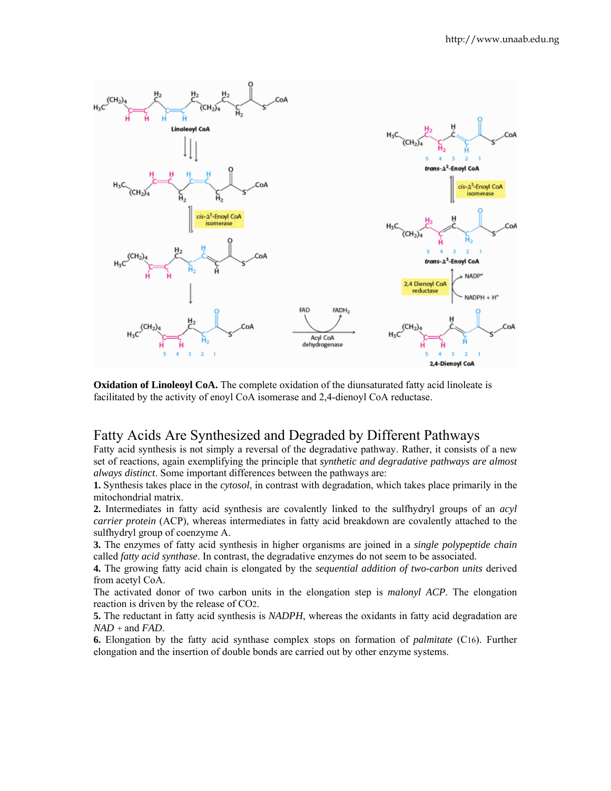

**Oxidation of Linoleoyl CoA.** The complete oxidation of the diunsaturated fatty acid linoleate is facilitated by the activity of enoyl CoA isomerase and 2,4-dienoyl CoA reductase.

## Fatty Acids Are Synthesized and Degraded by Different Pathways

Fatty acid synthesis is not simply a reversal of the degradative pathway. Rather, it consists of a new set of reactions, again exemplifying the principle that *synthetic and degradative pathways are almost always distinct*. Some important differences between the pathways are:

**1.** Synthesis takes place in the *cytosol*, in contrast with degradation, which takes place primarily in the mitochondrial matrix.

**2.** Intermediates in fatty acid synthesis are covalently linked to the sulfhydryl groups of an *acyl carrier protein* (ACP), whereas intermediates in fatty acid breakdown are covalently attached to the sulfhydryl group of coenzyme A.

**3.** The enzymes of fatty acid synthesis in higher organisms are joined in a *single polypeptide chain*  called *fatty acid synthase*. In contrast, the degradative enzymes do not seem to be associated.

**4.** The growing fatty acid chain is elongated by the *sequential addition of two-carbon units* derived from acetyl CoA.

The activated donor of two carbon units in the elongation step is *malonyl ACP*. The elongation reaction is driven by the release of CO2.

**5.** The reductant in fatty acid synthesis is *NADPH*, whereas the oxidants in fatty acid degradation are *NAD +* and *FAD*.

**6.** Elongation by the fatty acid synthase complex stops on formation of *palmitate* (C16). Further elongation and the insertion of double bonds are carried out by other enzyme systems.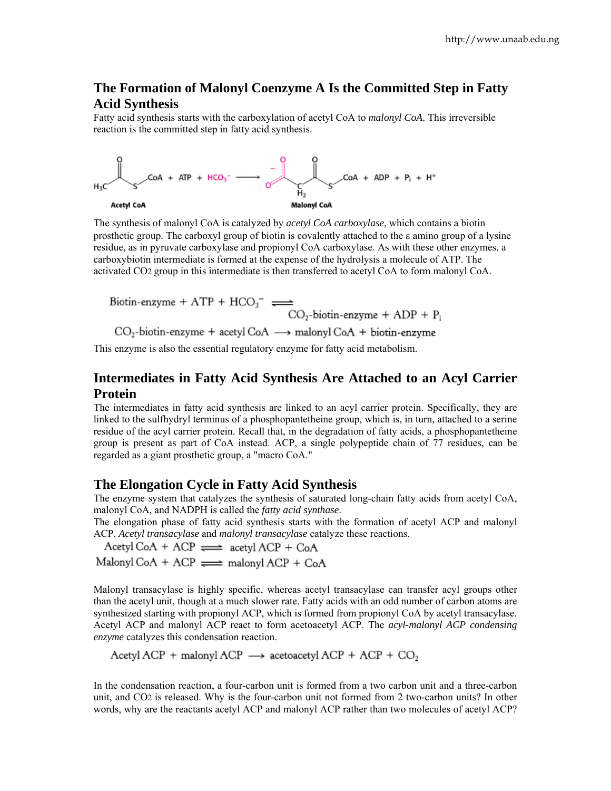# **The Formation of Malonyl Coenzyme A Is the Committed Step in Fatty Acid Synthesis**

Fatty acid synthesis starts with the carboxylation of acetyl CoA to *malonyl CoA*. This irreversible reaction is the committed step in fatty acid synthesis.



The synthesis of malonyl CoA is catalyzed by *acetyl CoA carboxylase*, which contains a biotin prosthetic group. The carboxyl group of biotin is covalently attached to the ε amino group of a lysine residue, as in pyruvate carboxylase and propionyl CoA carboxylase. As with these other enzymes, a carboxybiotin intermediate is formed at the expense of the hydrolysis a molecule of ATP. The activated CO2 group in this intermediate is then transferred to acetyl CoA to form malonyl CoA.

Biotin-enzyme + ATP + HCO<sub>3</sub><sup>-</sup>  $\longrightarrow$  CO<sub>2</sub>-biotin-enzyme + ADP + P<sub>i</sub><br>CO<sub>2</sub>-biotin-enzyme + ADP + P<sub>i</sub>

 $CO_2$ -biotin-enzyme + acetyl CoA  $\longrightarrow$  malonyl CoA + biotin-enzyme

This enzyme is also the essential regulatory enzyme for fatty acid metabolism.

# **Intermediates in Fatty Acid Synthesis Are Attached to an Acyl Carrier Protein**

The intermediates in fatty acid synthesis are linked to an acyl carrier protein. Specifically, they are linked to the sulfhydryl terminus of a phosphopantetheine group, which is, in turn, attached to a serine residue of the acyl carrier protein. Recall that, in the degradation of fatty acids, a phosphopantetheine group is present as part of CoA instead. ACP, a single polypeptide chain of 77 residues, can be regarded as a giant prosthetic group, a "macro CoA."

## **The Elongation Cycle in Fatty Acid Synthesis**

The enzyme system that catalyzes the synthesis of saturated long-chain fatty acids from acetyl CoA, malonyl CoA, and NADPH is called the *fatty acid synthase*.

The elongation phase of fatty acid synthesis starts with the formation of acetyl ACP and malonyl ACP. *Acetyl transacylase* and *malonyl transacylase* catalyze these reactions.

Acetyl CoA + ACP  $\implies$  acetyl ACP + CoA Malonyl CoA + ACP  $\implies$  malonyl ACP + CoA

Malonyl transacylase is highly specific, whereas acetyl transacylase can transfer acyl groups other than the acetyl unit, though at a much slower rate. Fatty acids with an odd number of carbon atoms are synthesized starting with propionyl ACP, which is formed from propionyl CoA by acetyl transacylase. Acetyl ACP and malonyl ACP react to form acetoacetyl ACP. The *acyl-malonyl ACP condensing enzyme* catalyzes this condensation reaction.

Acetyl ACP + malonyl ACP  $\longrightarrow$  acetoacetyl ACP + ACP + CO<sub>2</sub>

In the condensation reaction, a four-carbon unit is formed from a two carbon unit and a three-carbon unit, and CO2 is released. Why is the four-carbon unit not formed from 2 two-carbon units? In other words, why are the reactants acetyl ACP and malonyl ACP rather than two molecules of acetyl ACP?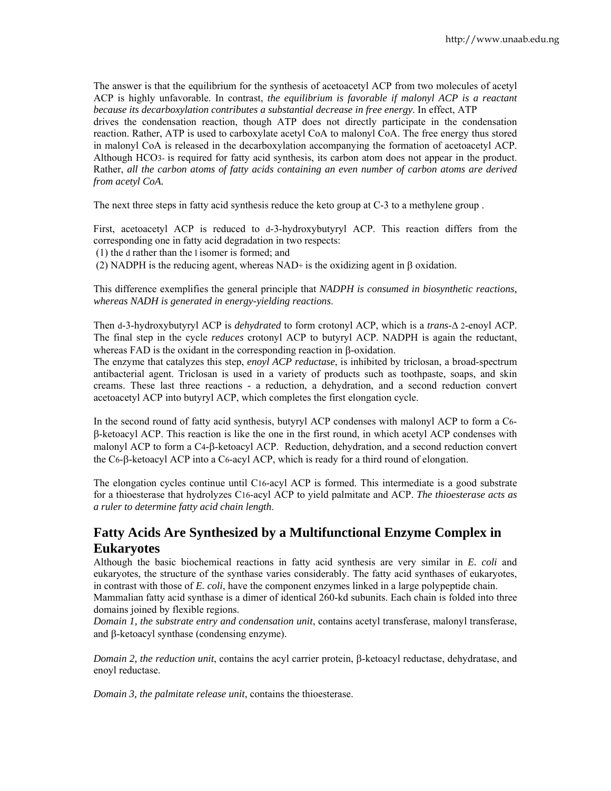The answer is that the equilibrium for the synthesis of acetoacetyl ACP from two molecules of acetyl ACP is highly unfavorable. In contrast, *the equilibrium is favorable if malonyl ACP is a reactant because its decarboxylation contributes a substantial decrease in free energy*. In effect, ATP drives the condensation reaction, though ATP does not directly participate in the condensation reaction. Rather, ATP is used to carboxylate acetyl CoA to malonyl CoA. The free energy thus stored in malonyl CoA is released in the decarboxylation accompanying the formation of acetoacetyl ACP. Although HCO3- is required for fatty acid synthesis, its carbon atom does not appear in the product. Rather, *all the carbon atoms of fatty acids containing an even number of carbon atoms are derived from acetyl CoA.* 

The next three steps in fatty acid synthesis reduce the keto group at C-3 to a methylene group .

First, acetoacetyl ACP is reduced to d-3-hydroxybutyryl ACP. This reaction differs from the corresponding one in fatty acid degradation in two respects:

(1) the d rather than the l isomer is formed; and

(2) NADPH is the reducing agent, whereas NAD+ is the oxidizing agent in  $\beta$  oxidation.

This difference exemplifies the general principle that *NADPH is consumed in biosynthetic reactions, whereas NADH is generated in energy-yielding reactions*.

Then d-3-hydroxybutyryl ACP is *dehydrated* to form crotonyl ACP, which is a *trans*-Δ 2-enoyl ACP. The final step in the cycle *reduces* crotonyl ACP to butyryl ACP. NADPH is again the reductant, whereas FAD is the oxidant in the corresponding reaction in β-oxidation.

The enzyme that catalyzes this step, *enoyl ACP reductase*, is inhibited by triclosan, a broad-spectrum antibacterial agent. Triclosan is used in a variety of products such as toothpaste, soaps, and skin creams. These last three reactions - a reduction, a dehydration, and a second reduction convert acetoacetyl ACP into butyryl ACP, which completes the first elongation cycle.

In the second round of fatty acid synthesis, butyryl ACP condenses with malonyl ACP to form a C6 β-ketoacyl ACP. This reaction is like the one in the first round, in which acetyl ACP condenses with malonyl ACP to form a C4-β-ketoacyl ACP. Reduction, dehydration, and a second reduction convert the C6-β-ketoacyl ACP into a C6-acyl ACP, which is ready for a third round of elongation.

The elongation cycles continue until C16-acyl ACP is formed. This intermediate is a good substrate for a thioesterase that hydrolyzes C16-acyl ACP to yield palmitate and ACP. *The thioesterase acts as a ruler to determine fatty acid chain length*.

## **Fatty Acids Are Synthesized by a Multifunctional Enzyme Complex in Eukaryotes**

Although the basic biochemical reactions in fatty acid synthesis are very similar in *E. coli* and eukaryotes, the structure of the synthase varies considerably. The fatty acid synthases of eukaryotes, in contrast with those of *E. coli*, have the component enzymes linked in a large polypeptide chain. Mammalian fatty acid synthase is a dimer of identical 260-kd subunits. Each chain is folded into three domains joined by flexible regions.

*Domain 1, the substrate entry and condensation unit*, contains acetyl transferase, malonyl transferase, and β-ketoacyl synthase (condensing enzyme).

*Domain 2, the reduction unit*, contains the acyl carrier protein, β-ketoacyl reductase, dehydratase, and enoyl reductase.

*Domain 3, the palmitate release unit*, contains the thioesterase.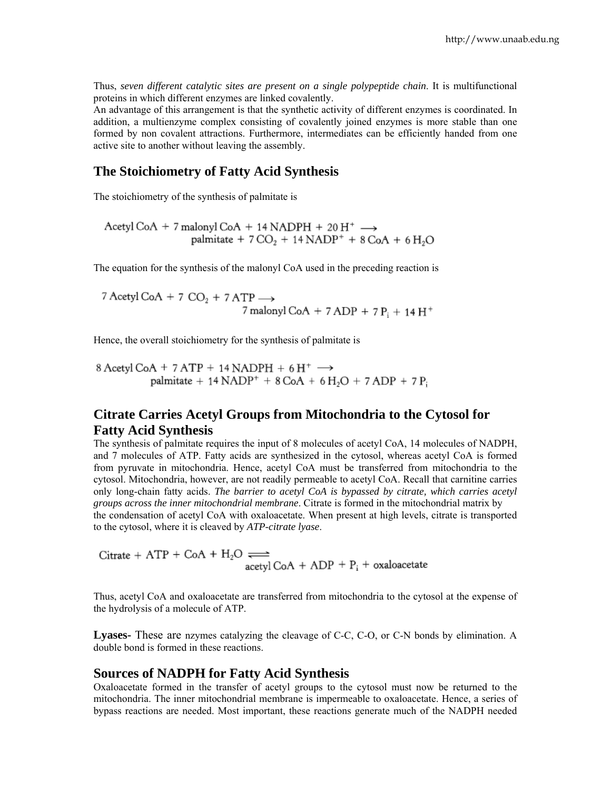Thus, *seven different catalytic sites are present on a single polypeptide chain*. It is multifunctional proteins in which different enzymes are linked covalently.

An advantage of this arrangement is that the synthetic activity of different enzymes is coordinated. In addition, a multienzyme complex consisting of covalently joined enzymes is more stable than one formed by non covalent attractions. Furthermore, intermediates can be efficiently handed from one active site to another without leaving the assembly.

### **The Stoichiometry of Fatty Acid Synthesis**

The stoichiometry of the synthesis of palmitate is

Acetyl CoA + 7 malonyl CoA + 14 NADPH + 20 H<sup>+</sup>  $\longrightarrow$ palmitate +  $7CO<sub>2</sub>$  +  $14 \text{ NADP}^+$  +  $8 \text{ CoA} + 6 \text{ H}<sub>2</sub>O$ 

The equation for the synthesis of the malonyl CoA used in the preceding reaction is

7 Acetyl CoA + 7 CO<sub>2</sub> + 7 ATP  $\longrightarrow$  7 malonyl CoA + 7 ADP + 7 P<sub>i</sub> + 14 H<sup>+</sup>

Hence, the overall stoichiometry for the synthesis of palmitate is

8 Acetyl CoA + 7 ATP + 14 NADPH +  $6H^+$   $\longrightarrow$ palmitate +  $14 \text{ NADP}^+ + 8 \text{CoA} + 6 \text{H}_2\text{O} + 7 \text{ ADP} + 7 \text{P}_i$ 

# **Citrate Carries Acetyl Groups from Mitochondria to the Cytosol for Fatty Acid Synthesis**

The synthesis of palmitate requires the input of 8 molecules of acetyl CoA, 14 molecules of NADPH, and 7 molecules of ATP. Fatty acids are synthesized in the cytosol, whereas acetyl CoA is formed from pyruvate in mitochondria. Hence, acetyl CoA must be transferred from mitochondria to the cytosol. Mitochondria, however, are not readily permeable to acetyl CoA. Recall that carnitine carries only long-chain fatty acids. *The barrier to acetyl CoA is bypassed by citrate, which carries acetyl groups across the inner mitochondrial membrane*. Citrate is formed in the mitochondrial matrix by the condensation of acetyl CoA with oxaloacetate. When present at high levels, citrate is transported to the cytosol, where it is cleaved by *ATP-citrate lyase*.

$$
Citrate + ATP + CoA + H2O \n\rightleftharpoons \n\leftarrows\n\leftarrows\n\leftarrows\n\left(CoA + ADP + Pi + \text{oxaloacetate}\n\right)
$$

Thus, acetyl CoA and oxaloacetate are transferred from mitochondria to the cytosol at the expense of the hydrolysis of a molecule of ATP.

**Lyases-** These are nzymes catalyzing the cleavage of C-C, C-O, or C-N bonds by elimination. A double bond is formed in these reactions.

#### **Sources of NADPH for Fatty Acid Synthesis**

Oxaloacetate formed in the transfer of acetyl groups to the cytosol must now be returned to the mitochondria. The inner mitochondrial membrane is impermeable to oxaloacetate. Hence, a series of bypass reactions are needed. Most important, these reactions generate much of the NADPH needed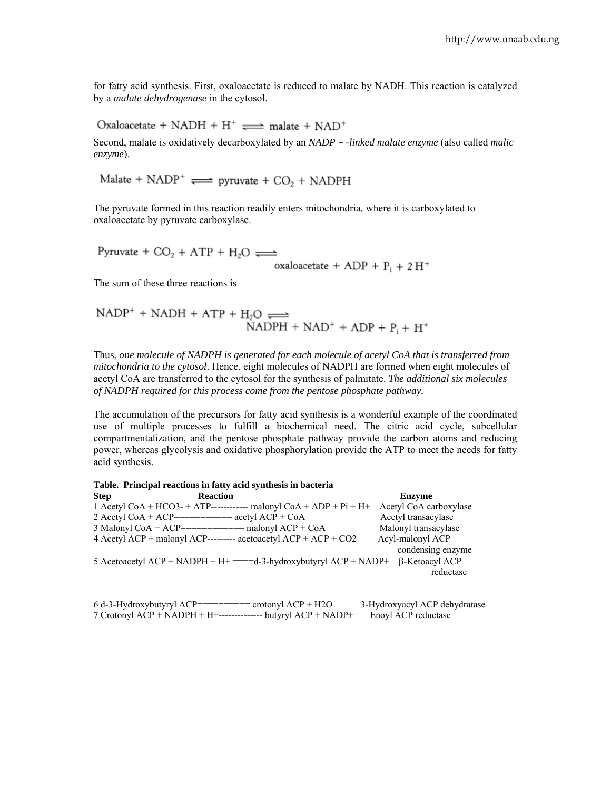for fatty acid synthesis. First, oxaloacetate is reduced to malate by NADH. This reaction is catalyzed by a *malate dehydrogenase* in the cytosol.

Oxaloacetate + NADH +  $H^+$  = malate + NAD<sup>+</sup>

Second, malate is oxidatively decarboxylated by an *NADP + -linked malate enzyme* (also called *malic enzyme*).

Malate +  $NADP^+ \rightleftharpoons pyruvate + CO_2 + NADPH$ 

The pyruvate formed in this reaction readily enters mitochondria, where it is carboxylated to oxaloacetate by pyruvate carboxylase.

Pyruvate + CO<sub>2</sub> + ATP + H<sub>2</sub>O  $\longrightarrow$  oxaloacetate + ADP + P<sub>i</sub> + 2 H<sup>+</sup><br>The sum of these three reactions is

$$
NADP^{+} + NADH + ATP + H_{2}O \implies \qquad NADPH + NAD^{+} + ADP + P_{i} + H^{+}
$$

Thus, *one molecule of NADPH is generated for each molecule of acetyl CoA that is transferred from mitochondria to the cytosol*. Hence, eight molecules of NADPH are formed when eight molecules of acetyl CoA are transferred to the cytosol for the synthesis of palmitate. *The additional six molecules of NADPH required for this process come from the pentose phosphate pathway.* 

The accumulation of the precursors for fatty acid synthesis is a wonderful example of the coordinated use of multiple processes to fulfill a biochemical need. The citric acid cycle, subcellular compartmentalization, and the pentose phosphate pathway provide the carbon atoms and reducing power, whereas glycolysis and oxidative phosphorylation provide the ATP to meet the needs for fatty acid synthesis.

| <b>Step</b> | <b>Reaction</b> | Table. Principal reactions in fatty acid synthesis in bacteria       | <b>Enzyme</b>                         |
|-------------|-----------------|----------------------------------------------------------------------|---------------------------------------|
|             |                 | 1 Acetyl CoA + HCO3- + ATP------------- malonyl CoA + ADP + Pi + H+  | Acetyl CoA carboxylase                |
|             |                 | 2 Acetyl CoA + ACP=========== acetyl ACP + CoA                       | Acetyl transacylase                   |
|             |                 | 3 Malonyl CoA + ACP============ malonyl ACP + CoA                    | Malonyl transacylase                  |
|             |                 | 4 Acetyl ACP + malonyl ACP--------- acetoacetyl ACP + ACP + CO2      | Acyl-malonyl ACP<br>condensing enzyme |
|             |                 | 5 Acetoacetyl $ACP + NADPH + H+ == = d-3-hydroxybutyryl ACP + NADP+$ | β-Ketoacyl ACP<br>reductase           |

| 6 d-3-Hydroxybutyryl ACP=========== $\text{crotonyl}$ ACP + H2O | 3-Hydroxyacyl ACP dehydratase |
|-----------------------------------------------------------------|-------------------------------|
| 7 Crotonyl ACP + NADPH + H+--------------- butyryl ACP + NADP+  | Enoyl ACP reductase           |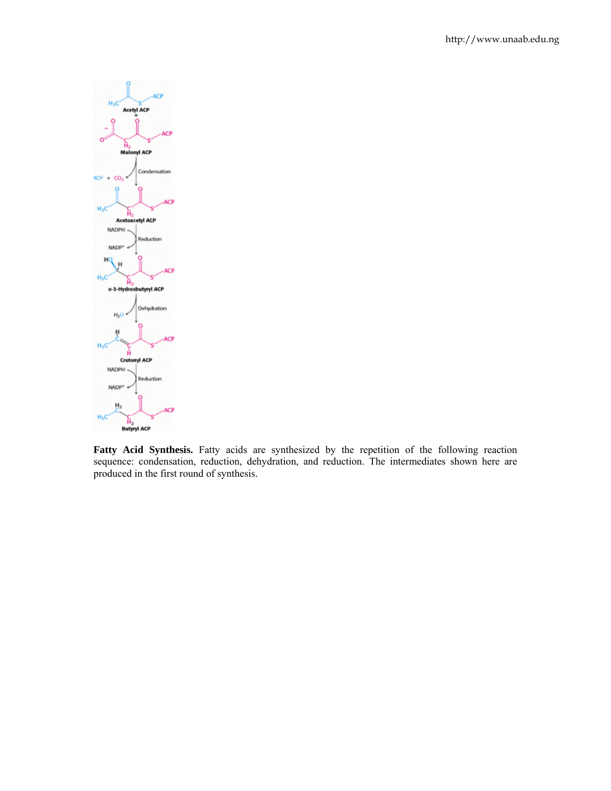

**Fatty Acid Synthesis.** Fatty acids are synthesized by the repetition of the following reaction sequence: condensation, reduction, dehydration, and reduction. The intermediates shown here are produced in the first round of synthesis.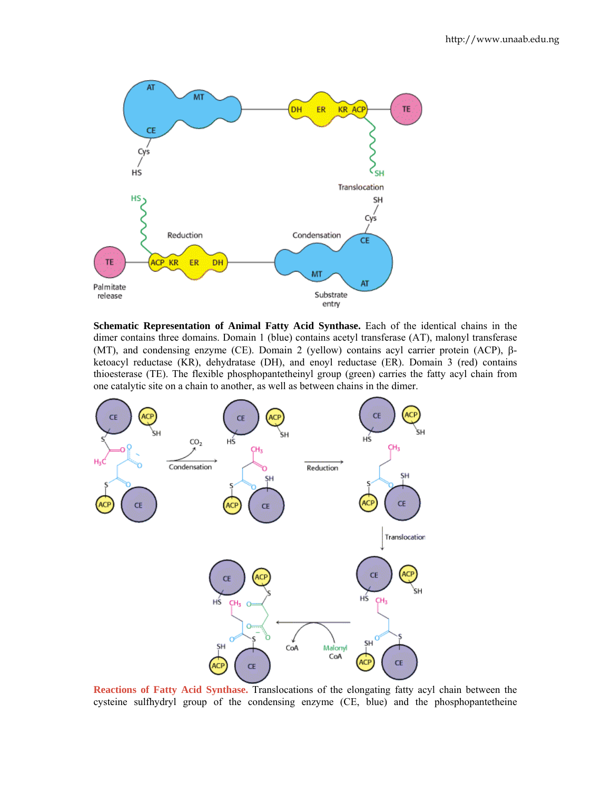

**Schematic Representation of Animal Fatty Acid Synthase.** Each of the identical chains in the dimer contains three domains. Domain 1 (blue) contains acetyl transferase (AT), malonyl transferase (MT), and condensing enzyme (CE). Domain 2 (yellow) contains acyl carrier protein (ACP), βketoacyl reductase (KR), dehydratase (DH), and enoyl reductase (ER). Domain 3 (red) contains thioesterase (TE). The flexible phosphopantetheinyl group (green) carries the fatty acyl chain from one catalytic site on a chain to another, as well as between chains in the dimer.



**Reactions of Fatty Acid Synthase.** Translocations of the elongating fatty acyl chain between the cysteine sulfhydryl group of the condensing enzyme (CE, blue) and the phosphopantetheine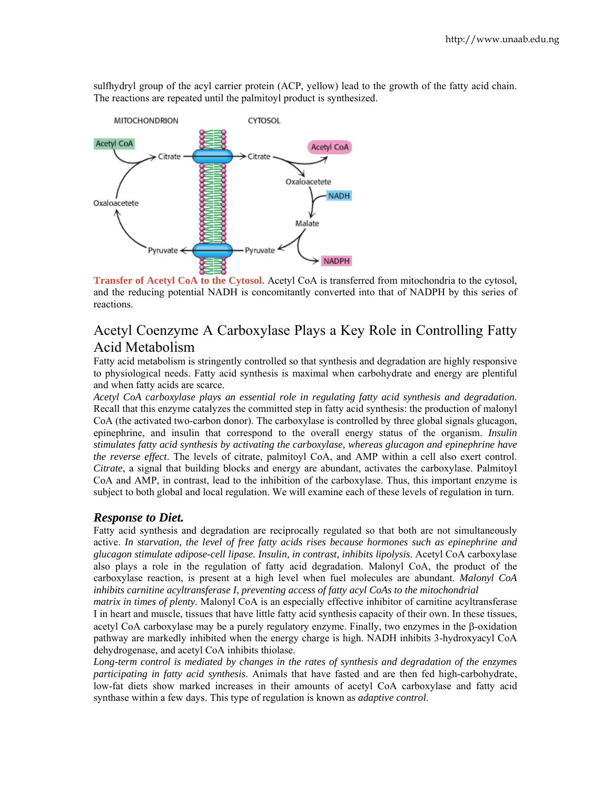sulfhydryl group of the acyl carrier protein (ACP, yellow) lead to the growth of the fatty acid chain. The reactions are repeated until the palmitoyl product is synthesized.



**Transfer of Acetyl CoA to the Cytosol.** Acetyl CoA is transferred from mitochondria to the cytosol, and the reducing potential NADH is concomitantly converted into that of NADPH by this series of reactions.

# Acetyl Coenzyme A Carboxylase Plays a Key Role in Controlling Fatty Acid Metabolism

Fatty acid metabolism is stringently controlled so that synthesis and degradation are highly responsive to physiological needs. Fatty acid synthesis is maximal when carbohydrate and energy are plentiful and when fatty acids are scarce.

*Acetyl CoA carboxylase plays an essential role in regulating fatty acid synthesis and degradation*. Recall that this enzyme catalyzes the committed step in fatty acid synthesis: the production of malonyl CoA (the activated two-carbon donor). The carboxylase is controlled by three global signals glucagon, epinephrine, and insulin that correspond to the overall energy status of the organism. *Insulin stimulates fatty acid synthesis by activating the carboxylase, whereas glucagon and epinephrine have the reverse effect*. The levels of citrate, palmitoyl CoA, and AMP within a cell also exert control. *Citrate*, a signal that building blocks and energy are abundant, activates the carboxylase. Palmitoyl CoA and AMP, in contrast, lead to the inhibition of the carboxylase. Thus, this important enzyme is subject to both global and local regulation. We will examine each of these levels of regulation in turn.

### *Response to Diet.*

Fatty acid synthesis and degradation are reciprocally regulated so that both are not simultaneously active. *In starvation, the level of free fatty acids rises because hormones such as epinephrine and glucagon stimulate adipose-cell lipase. Insulin, in contrast, inhibits lipolysis*. Acetyl CoA carboxylase also plays a role in the regulation of fatty acid degradation. Malonyl CoA, the product of the carboxylase reaction, is present at a high level when fuel molecules are abundant. *Malonyl CoA inhibits carnitine acyltransferase I, preventing access of fatty acyl CoAs to the mitochondrial* 

*matrix in times of plenty*. Malonyl CoA is an especially effective inhibitor of carnitine acyltransferase I in heart and muscle, tissues that have little fatty acid synthesis capacity of their own. In these tissues, acetyl CoA carboxylase may be a purely regulatory enzyme. Finally, two enzymes in the β-oxidation pathway are markedly inhibited when the energy charge is high. NADH inhibits 3-hydroxyacyl CoA dehydrogenase, and acetyl CoA inhibits thiolase.

*Long-term control is mediated by changes in the rates of synthesis and degradation of the enzymes participating in fatty acid synthesis*. Animals that have fasted and are then fed high-carbohydrate, low-fat diets show marked increases in their amounts of acetyl CoA carboxylase and fatty acid synthase within a few days. This type of regulation is known as *adaptive control*.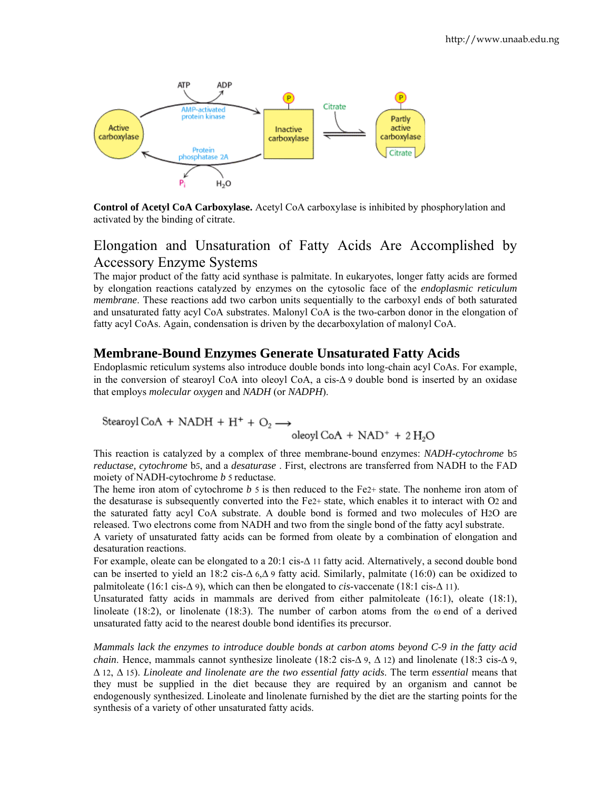

**Control of Acetyl CoA Carboxylase.** Acetyl CoA carboxylase is inhibited by phosphorylation and activated by the binding of citrate.

# Elongation and Unsaturation of Fatty Acids Are Accomplished by Accessory Enzyme Systems

The major product of the fatty acid synthase is palmitate. In eukaryotes, longer fatty acids are formed by elongation reactions catalyzed by enzymes on the cytosolic face of the *endoplasmic reticulum membrane*. These reactions add two carbon units sequentially to the carboxyl ends of both saturated and unsaturated fatty acyl CoA substrates. Malonyl CoA is the two-carbon donor in the elongation of fatty acyl CoAs. Again, condensation is driven by the decarboxylation of malonyl CoA.

## **Membrane-Bound Enzymes Generate Unsaturated Fatty Acids**

Endoplasmic reticulum systems also introduce double bonds into long-chain acyl CoAs. For example, in the conversion of stearoyl CoA into oleoyl CoA, a cis-Δ 9 double bond is inserted by an oxidase that employs *molecular oxygen* and *NADH* (or *NADPH*).

$$
Stearoyl CoA + NADH + H^{+} + O_{2} \longrightarrow
$$
oleoyl CoA + NAD<sup>+</sup> + 2 H<sub>2</sub>O

This reaction is catalyzed by a complex of three membrane-bound enzymes: *NADH-cytochrome* b*5 reductase, cytochrome* b*5*, and a *desaturase* . First, electrons are transferred from NADH to the FAD moiety of NADH-cytochrome *b* 5 reductase.

The heme iron atom of cytochrome *b* 5 is then reduced to the Fe2+ state. The nonheme iron atom of the desaturase is subsequently converted into the Fe2+ state, which enables it to interact with O2 and the saturated fatty acyl CoA substrate. A double bond is formed and two molecules of H2O are released. Two electrons come from NADH and two from the single bond of the fatty acyl substrate.

A variety of unsaturated fatty acids can be formed from oleate by a combination of elongation and desaturation reactions.

For example, oleate can be elongated to a 20:1 cis-Δ 11 fatty acid. Alternatively, a second double bond can be inserted to yield an 18:2 cis- $\Delta$  6, $\Delta$  9 fatty acid. Similarly, palmitate (16:0) can be oxidized to palmitoleate (16:1 cis-Δ 9), which can then be elongated to *cis*-vaccenate (18:1 cis-Δ 11).

Unsaturated fatty acids in mammals are derived from either palmitoleate (16:1), oleate (18:1), linoleate (18:2), or linolenate (18:3). The number of carbon atoms from the  $\omega$  end of a derived unsaturated fatty acid to the nearest double bond identifies its precursor.

*Mammals lack the enzymes to introduce double bonds at carbon atoms beyond C-9 in the fatty acid chain*. Hence, mammals cannot synthesize linoleate (18:2 cis- $\Delta$ 9,  $\Delta$  12) and linolenate (18:3 cis- $\Delta$ 9, Δ 12, Δ 15). *Linoleate and linolenate are the two essential fatty acids*. The term *essential* means that they must be supplied in the diet because they are required by an organism and cannot be endogenously synthesized. Linoleate and linolenate furnished by the diet are the starting points for the synthesis of a variety of other unsaturated fatty acids.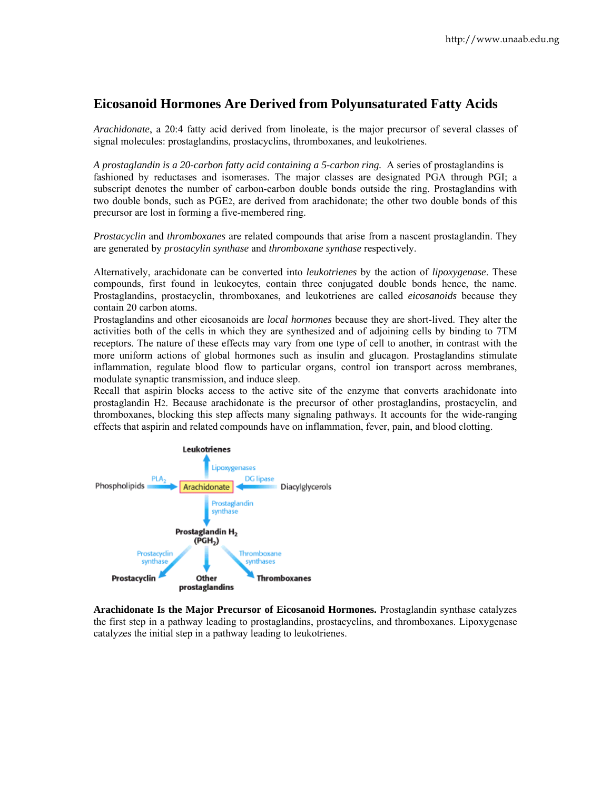## **Eicosanoid Hormones Are Derived from Polyunsaturated Fatty Acids**

*Arachidonate*, a 20:4 fatty acid derived from linoleate, is the major precursor of several classes of signal molecules: prostaglandins, prostacyclins, thromboxanes, and leukotrienes.

*A prostaglandin is a 20-carbon fatty acid containing a 5-carbon ring.* A series of prostaglandins is fashioned by reductases and isomerases. The major classes are designated PGA through PGI; a subscript denotes the number of carbon-carbon double bonds outside the ring. Prostaglandins with two double bonds, such as PGE2, are derived from arachidonate; the other two double bonds of this precursor are lost in forming a five-membered ring.

*Prostacyclin* and *thromboxanes* are related compounds that arise from a nascent prostaglandin. They are generated by *prostacylin synthase* and *thromboxane synthase* respectively.

Alternatively, arachidonate can be converted into *leukotrienes* by the action of *lipoxygenase*. These compounds, first found in leukocytes, contain three conjugated double bonds hence, the name. Prostaglandins, prostacyclin, thromboxanes, and leukotrienes are called *eicosanoids* because they contain 20 carbon atoms.

Prostaglandins and other eicosanoids are *local hormones* because they are short-lived. They alter the activities both of the cells in which they are synthesized and of adjoining cells by binding to 7TM receptors. The nature of these effects may vary from one type of cell to another, in contrast with the more uniform actions of global hormones such as insulin and glucagon. Prostaglandins stimulate inflammation, regulate blood flow to particular organs, control ion transport across membranes, modulate synaptic transmission, and induce sleep.

Recall that aspirin blocks access to the active site of the enzyme that converts arachidonate into prostaglandin H2. Because arachidonate is the precursor of other prostaglandins, prostacyclin, and thromboxanes, blocking this step affects many signaling pathways. It accounts for the wide-ranging effects that aspirin and related compounds have on inflammation, fever, pain, and blood clotting.



**Arachidonate Is the Major Precursor of Eicosanoid Hormones.** Prostaglandin synthase catalyzes the first step in a pathway leading to prostaglandins, prostacyclins, and thromboxanes. Lipoxygenase catalyzes the initial step in a pathway leading to leukotrienes.